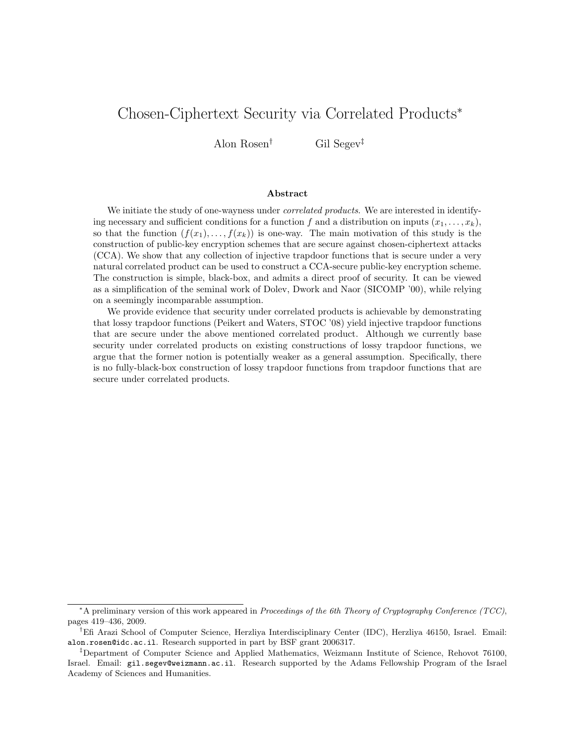# Chosen-Ciphertext Security via Correlated Products*<sup>∗</sup>*

Alon Rosen*†* Gil Segev*‡*

#### **Abstract**

We initiate the study of one-wayness under *correlated products*. We are interested in identifying necessary and sufficient conditions for a function *f* and a distribution on inputs  $(x_1, \ldots, x_k)$ , so that the function  $(f(x_1),...,f(x_k))$  is one-way. The main motivation of this study is the construction of public-key encryption schemes that are secure against chosen-ciphertext attacks (CCA). We show that any collection of injective trapdoor functions that is secure under a very natural correlated product can be used to construct a CCA-secure public-key encryption scheme. The construction is simple, black-box, and admits a direct proof of security. It can be viewed as a simplification of the seminal work of Dolev, Dwork and Naor (SICOMP '00), while relying on a seemingly incomparable assumption.

We provide evidence that security under correlated products is achievable by demonstrating that lossy trapdoor functions (Peikert and Waters, STOC '08) yield injective trapdoor functions that are secure under the above mentioned correlated product. Although we currently base security under correlated products on existing constructions of lossy trapdoor functions, we argue that the former notion is potentially weaker as a general assumption. Specifically, there is no fully-black-box construction of lossy trapdoor functions from trapdoor functions that are secure under correlated products.

*<sup>∗</sup>*A preliminary version of this work appeared in *Proceedings of the 6th Theory of Cryptography Conference (TCC)*, pages 419–436, 2009.

*<sup>†</sup>*Efi Arazi School of Computer Science, Herzliya Interdisciplinary Center (IDC), Herzliya 46150, Israel. Email: [alon.rosen@idc.ac.il](mailto:alon.rosen@idc.ac.il). Research supported in part by BSF grant 2006317.

*<sup>‡</sup>*Department of Computer Science and Applied Mathematics, Weizmann Institute of Science, Rehovot 76100, Israel. Email: [gil.segev@weizmann.ac.il](mailto:gil.segev@weizmann.ac.il). Research supported by the Adams Fellowship Program of the Israel Academy of Sciences and Humanities.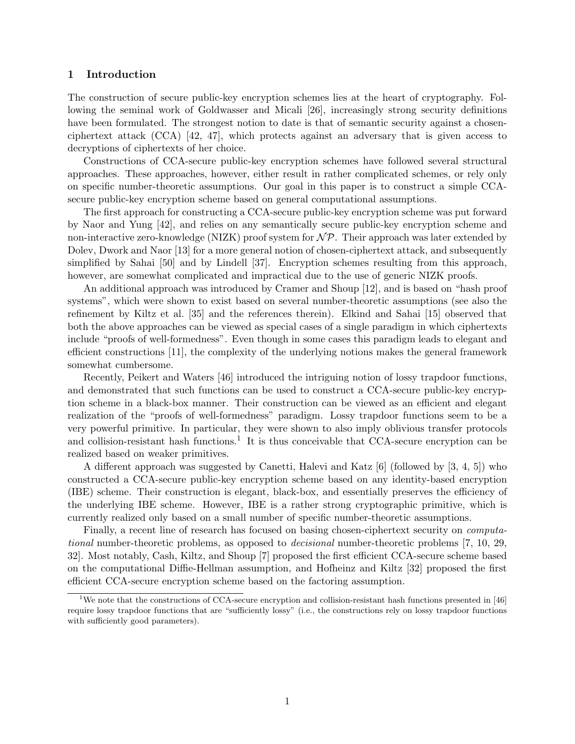# **1 Introduction**

The construction of secure public-key encryption schemes lies at the heart of cryptography. Following the seminal work of Goldwasser and Micali [\[26](#page-30-0)], increasingly strong security definitions have been formulated. The strongest notion to date is that of semantic security against a chosenciphertext attack (CCA) [[42](#page-31-0), [47\]](#page-31-1), which protects against an adversary that is given access to decryptions of ciphertexts of her choice.

Constructions of CCA-secure public-key encryption schemes have followed several structural approaches. These approaches, however, either result in rather complicated schemes, or rely only on specific number-theoretic assumptions. Our goal in this paper is to construct a simple CCAsecure public-key encryption scheme based on general computational assumptions.

The first approach for constructing a CCA-secure public-key encryption scheme was put forward by Naor and Yung [[42\]](#page-31-0), and relies on any semantically secure public-key encryption scheme and non-interactive zero-knowledge (NIZK) proof system for  $\mathcal{NP}$ . Their approach was later extended by Dolev, Dwork and Naor [[13\]](#page-29-0) for a more general notion of chosen-ciphertext attack, and subsequently simplified by Sahai [[50\]](#page-31-2) and by Lindell [\[37](#page-31-3)]. Encryption schemes resulting from this approach, however, are somewhat complicated and impractical due to the use of generic NIZK proofs.

An additional approach was introduced by Cramer and Shoup [[12\]](#page-29-1), and is based on "hash proof systems", which were shown to exist based on several number-theoretic assumptions (see also the refinement by Kiltz et al. [[35\]](#page-31-4) and the references therein). Elkind and Sahai [[15](#page-29-2)] observed that both the above approaches can be viewed as special cases of a single paradigm in which ciphertexts include "proofs of well-formedness". Even though in some cases this paradigm leads to elegant and efficient constructions [\[11](#page-29-3)], the complexity of the underlying notions makes the general framework somewhat cumbersome.

Recently, Peikert and Waters [[46\]](#page-31-5) introduced the intriguing notion of lossy trapdoor functions, and demonstrated that such functions can be used to construct a CCA-secure public-key encryption scheme in a black-box manner. Their construction can be viewed as an efficient and elegant realization of the "proofs of well-formedness" paradigm. Lossy trapdoor functions seem to be a very powerful primitive. In particular, they were shown to also imply oblivious transfer protocols and collision-resistant hash functions.<sup>[1](#page-1-0)</sup> It is thus conceivable that CCA-secure encryption can be realized based on weaker primitives.

A different approach was suggested by Canetti, Halevi and Katz [\[6\]](#page-29-4) (followed by [\[3](#page-28-0), [4,](#page-28-1) [5\]](#page-29-5)) who constructed a CCA-secure public-key encryption scheme based on any identity-based encryption (IBE) scheme. Their construction is elegant, black-box, and essentially preserves the efficiency of the underlying IBE scheme. However, IBE is a rather strong cryptographic primitive, which is currently realized only based on a small number of specific number-theoretic assumptions.

Finally, a recent line of research has focused on basing chosen-ciphertext security on *computational* number-theoretic problems, as opposed to *decisional* number-theoretic problems [[7,](#page-29-6) [10,](#page-29-7) [29,](#page-30-1) [32\]](#page-30-2). Most notably, Cash, Kiltz, and Shoup [[7](#page-29-6)] proposed the first efficient CCA-secure scheme based on the computational Diffie-Hellman assumption, and Hofheinz and Kiltz [\[32\]](#page-30-2) proposed the first efficient CCA-secure encryption scheme based on the factoring assumption.

<span id="page-1-0"></span><sup>1</sup>We note that the constructions of CCA-secure encryption and collision-resistant hash functions presented in [\[46](#page-31-5)] require lossy trapdoor functions that are "sufficiently lossy" (i.e., the constructions rely on lossy trapdoor functions with sufficiently good parameters).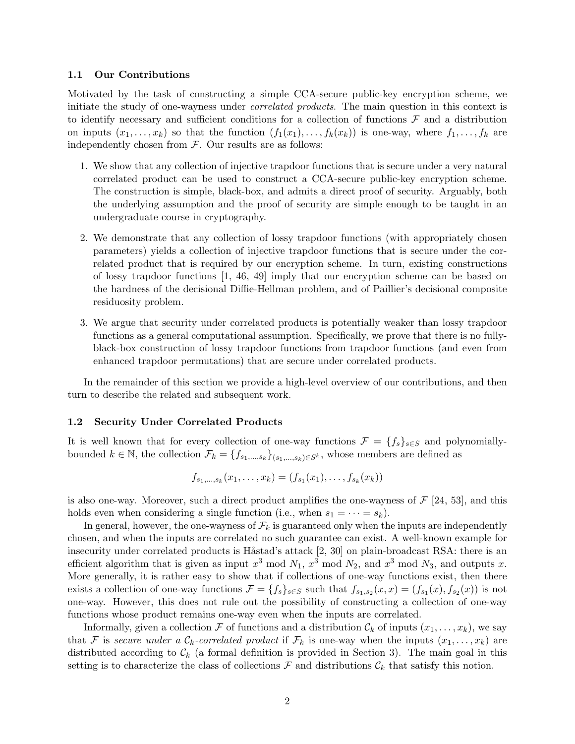#### **1.1 Our Contributions**

Motivated by the task of constructing a simple CCA-secure public-key encryption scheme, we initiate the study of one-wayness under *correlated products*. The main question in this context is to identify necessary and sufficient conditions for a collection of functions  $\mathcal F$  and a distribution on inputs  $(x_1, \ldots, x_k)$  so that the function  $(f_1(x_1), \ldots, f_k(x_k))$  is one-way, where  $f_1, \ldots, f_k$  are independently chosen from  $F$ . Our results are as follows:

- 1. We show that any collection of injective trapdoor functions that is secure under a very natural correlated product can be used to construct a CCA-secure public-key encryption scheme. The construction is simple, black-box, and admits a direct proof of security. Arguably, both the underlying assumption and the proof of security are simple enough to be taught in an undergraduate course in cryptography.
- 2. We demonstrate that any collection of lossy trapdoor functions (with appropriately chosen parameters) yields a collection of injective trapdoor functions that is secure under the correlated product that is required by our encryption scheme. In turn, existing constructions of lossy trapdoor functions [\[1,](#page-28-2) [46](#page-31-5), [49](#page-31-6)] imply that our encryption scheme can be based on the hardness of the decisional Diffie-Hellman problem, and of Paillier's decisional composite residuosity problem.
- 3. We argue that security under correlated products is potentially weaker than lossy trapdoor functions as a general computational assumption. Specifically, we prove that there is no fullyblack-box construction of lossy trapdoor functions from trapdoor functions (and even from enhanced trapdoor permutations) that are secure under correlated products.

In the remainder of this section we provide a high-level overview of our contributions, and then turn to describe the related and subsequent work.

## **1.2 Security Under Correlated Products**

It is well known that for every collection of one-way functions  $\mathcal{F} = \{f_s\}_{s \in S}$  and polynomiallybounded  $k \in \mathbb{N}$ , the collection  $\mathcal{F}_k = \{f_{s_1,\dots,s_k}\}_{(s_1,\dots,s_k) \in S^k}$ , whose members are defined as

$$
f_{s_1,\ldots,s_k}(x_1,\ldots,x_k)=(f_{s_1}(x_1),\ldots,f_{s_k}(x_k))
$$

is also one-way. Moreover, such a direct product amplifies the one-wayness of  $\mathcal{F}$  [[24](#page-30-3), [53](#page-32-0)], and this holds even when considering a single function (i.e., when  $s_1 = \cdots = s_k$ ).

In general, however, the one-wayness of  $\mathcal{F}_k$  is guaranteed only when the inputs are independently chosen, and when the inputs are correlated no such guarantee can exist. A well-known example for insecurity under correlated products is Håstad's attack [[2](#page-28-3), [30\]](#page-30-4) on plain-broadcast RSA: there is an efficient algorithm that is given as input  $x^3 \mod N_1$ ,  $x^3 \mod N_2$ , and  $x^3 \mod N_3$ , and outputs *x*. More generally, it is rather easy to show that if collections of one-way functions exist, then there exists a collection of one-way functions  $\mathcal{F} = \{f_s\}_{s \in S}$  such that  $f_{s_1,s_2}(x,x) = (f_{s_1}(x), f_{s_2}(x))$  is not one-way. However, this does not rule out the possibility of constructing a collection of one-way functions whose product remains one-way even when the inputs are correlated.

Informally, given a collection  $\mathcal F$  of functions and a distribution  $\mathcal C_k$  of inputs  $(x_1, \ldots, x_k)$ , we say that *F* is *secure under a*  $\mathcal{C}_k$ -correlated product if  $\mathcal{F}_k$  is one-way when the inputs  $(x_1, \ldots, x_k)$  are distributed according to  $\mathcal{C}_k$  (a formal definition is provided in Section [3](#page-10-0)). The main goal in this setting is to characterize the class of collections  $\mathcal F$  and distributions  $\mathcal C_k$  that satisfy this notion.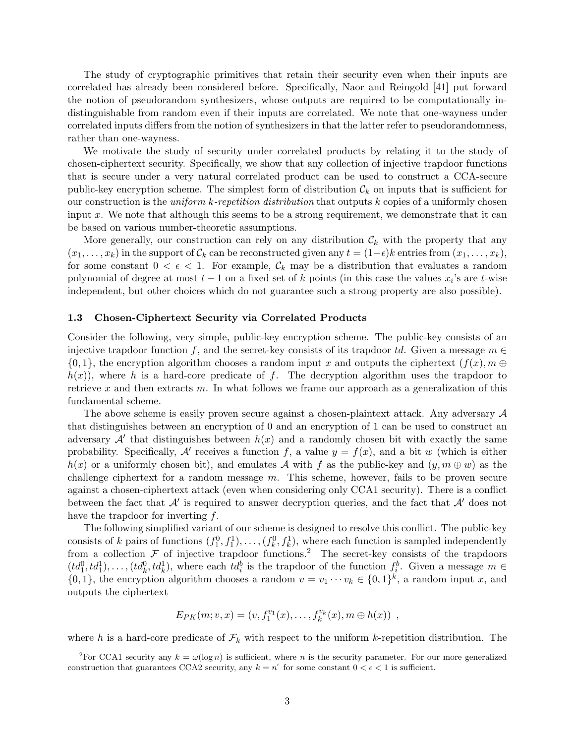The study of cryptographic primitives that retain their security even when their inputs are correlated has already been considered before. Specifically, Naor and Reingold [\[41](#page-31-7)] put forward the notion of pseudorandom synthesizers, whose outputs are required to be computationally indistinguishable from random even if their inputs are correlated. We note that one-wayness under correlated inputs differs from the notion of synthesizers in that the latter refer to pseudorandomness, rather than one-wayness.

We motivate the study of security under correlated products by relating it to the study of chosen-ciphertext security. Specifically, we show that any collection of injective trapdoor functions that is secure under a very natural correlated product can be used to construct a CCA-secure public-key encryption scheme. The simplest form of distribution  $\mathcal{C}_k$  on inputs that is sufficient for our construction is the *uniform k-repetition distribution* that outputs *k* copies of a uniformly chosen input x. We note that although this seems to be a strong requirement, we demonstrate that it can be based on various number-theoretic assumptions.

More generally, our construction can rely on any distribution  $\mathcal{C}_k$  with the property that any  $(x_1, \ldots, x_k)$  in the support of  $\mathcal{C}_k$  can be reconstructed given any  $t = (1-\epsilon)k$  entries from  $(x_1, \ldots, x_k)$ , for some constant  $0 < \epsilon < 1$ . For example,  $\mathcal{C}_k$  may be a distribution that evaluates a random polynomial of degree at most *t −* 1 on a fixed set of *k* points (in this case the values *x<sup>i</sup>* 's are *t*-wise independent, but other choices which do not guarantee such a strong property are also possible).

#### <span id="page-3-1"></span>**1.3 Chosen-Ciphertext Security via Correlated Products**

Consider the following, very simple, public-key encryption scheme. The public-key consists of an injective trapdoor function *f*, and the secret-key consists of its trapdoor *td*. Given a message  $m \in$  $\{0,1\}$ , the encryption algorithm chooses a random input *x* and outputs the ciphertext  $(f(x), m \oplus n)$  $h(x)$ , where *h* is a hard-core predicate of *f*. The decryption algorithm uses the trapdoor to retrieve *x* and then extracts *m*. In what follows we frame our approach as a generalization of this fundamental scheme.

The above scheme is easily proven secure against a chosen-plaintext attack. Any adversary *A* that distinguishes between an encryption of 0 and an encryption of 1 can be used to construct an adversary  $A'$  that distinguishes between  $h(x)$  and a randomly chosen bit with exactly the same probability. Specifically,  $A'$  receives a function  $f$ , a value  $y = f(x)$ , and a bit *w* (which is either  $h(x)$  or a uniformly chosen bit), and emulates *A* with *f* as the public-key and  $(y, m \oplus w)$  as the challenge ciphertext for a random message *m*. This scheme, however, fails to be proven secure against a chosen-ciphertext attack (even when considering only CCA1 security). There is a conflict between the fact that  $A'$  is required to answer decryption queries, and the fact that  $A'$  does not have the trapdoor for inverting *f*.

The following simplified variant of our scheme is designed to resolve this conflict. The public-key consists of *k* pairs of functions  $(f_1^0, f_1^1), \ldots, (f_k^0, f_k^1)$ , where each function is sampled independently from a collection  $\mathcal F$  of injective trapdoor functions.<sup>[2](#page-3-0)</sup> The secret-key consists of the trapdoors  $(td_1^0, td_1^1), \ldots, (td_k^0, td_k^1)$ , where each  $td_i^b$  is the trapdoor of the function  $f_i^b$ . Given a message  $m \in$  $\{0, 1\}$ , the encryption algorithm chooses a random  $v = v_1 \cdots v_k \in \{0, 1\}^k$ , a random input *x*, and outputs the ciphertext

$$
E_{PK}(m; v, x) = (v, f_1^{v_1}(x), \dots, f_k^{v_k}(x), m \oplus h(x)) ,
$$

where *h* is a hard-core predicate of  $\mathcal{F}_k$  with respect to the uniform *k*-repetition distribution. The

<span id="page-3-0"></span><sup>&</sup>lt;sup>2</sup>For CCA1 security any  $k = \omega(\log n)$  is sufficient, where *n* is the security parameter. For our more generalized construction that guarantees CCA2 security, any  $k = n^{\epsilon}$  for some constant  $0 < \epsilon < 1$  is sufficient.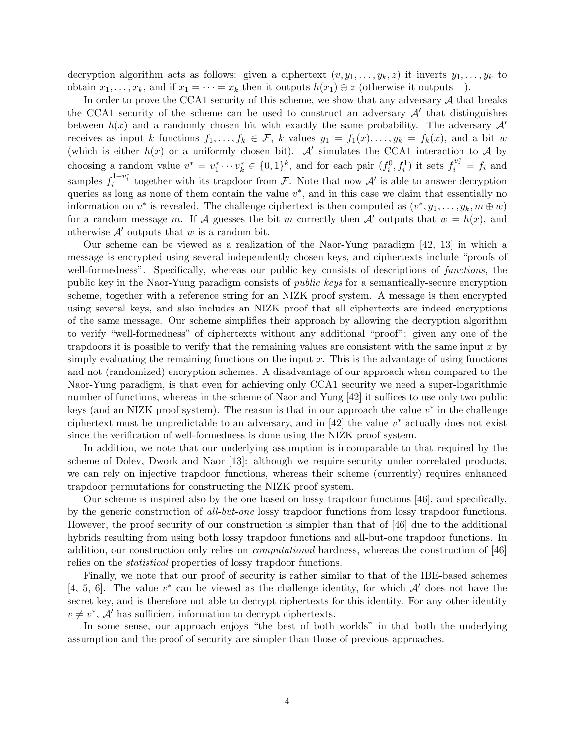decryption algorithm acts as follows: given a ciphertext  $(v, y_1, \ldots, y_k, z)$  it inverts  $y_1, \ldots, y_k$  to obtain  $x_1, \ldots, x_k$ , and if  $x_1 = \cdots = x_k$  then it outputs  $h(x_1) \oplus z$  (otherwise it outputs  $\perp$ ).

In order to prove the CCA1 security of this scheme, we show that any adversary *A* that breaks the CCA1 security of the scheme can be used to construct an adversary  $A'$  that distinguishes between  $h(x)$  and a randomly chosen bit with exactly the same probability. The adversary  $A'$ receives as input *k* functions  $f_1, \ldots, f_k \in \mathcal{F}$ , *k* values  $y_1 = f_1(x), \ldots, y_k = f_k(x)$ , and a bit *w* (which is either  $h(x)$  or a uniformly chosen bit). A simulates the CCA1 interaction to A by choosing a random value  $v^* = v_1^* \cdots v_k^* \in \{0,1\}^k$ , and for each pair  $(f_i^0, f_i^1)$  it sets  $f_i^{v_i^*} = f_i$  and samples  $f_i^{1-v_i^*}$  together with its trapdoor from *F*. Note that now *A*<sup>*'*</sup> is able to answer decryption queries as long as none of them contain the value  $v^*$ , and in this case we claim that essentially no information on  $v^*$  is revealed. The challenge ciphertext is then computed as  $(v^*, y_1, \ldots, y_k, m \oplus w)$ for a random message *m*. If *A* guesses the bit *m* correctly then *A'* outputs that  $w = h(x)$ , and otherwise  $A'$  outputs that  $w$  is a random bit.

Our scheme can be viewed as a realization of the Naor-Yung paradigm [[42,](#page-31-0) [13\]](#page-29-0) in which a message is encrypted using several independently chosen keys, and ciphertexts include "proofs of well-formedness". Specifically, whereas our public key consists of descriptions of *functions*, the public key in the Naor-Yung paradigm consists of *public keys* for a semantically-secure encryption scheme, together with a reference string for an NIZK proof system. A message is then encrypted using several keys, and also includes an NIZK proof that all ciphertexts are indeed encryptions of the same message. Our scheme simplifies their approach by allowing the decryption algorithm to verify "well-formedness" of ciphertexts without any additional "proof": given any one of the trapdoors it is possible to verify that the remaining values are consistent with the same input *x* by simply evaluating the remaining functions on the input *x*. This is the advantage of using functions and not (randomized) encryption schemes. A disadvantage of our approach when compared to the Naor-Yung paradigm, is that even for achieving only CCA1 security we need a super-logarithmic number of functions, whereas in the scheme of Naor and Yung [[42\]](#page-31-0) it suffices to use only two public keys (and an NIZK proof system). The reason is that in our approach the value *v ∗* in the challenge ciphertext must be unpredictable to an adversary, and in [[42\]](#page-31-0) the value *v <sup>∗</sup>* actually does not exist since the verification of well-formedness is done using the NIZK proof system.

In addition, we note that our underlying assumption is incomparable to that required by the scheme of Dolev, Dwork and Naor [[13\]](#page-29-0): although we require security under correlated products, we can rely on injective trapdoor functions, whereas their scheme (currently) requires enhanced trapdoor permutations for constructing the NIZK proof system.

Our scheme is inspired also by the one based on lossy trapdoor functions [\[46](#page-31-5)], and specifically, by the generic construction of *all-but-one* lossy trapdoor functions from lossy trapdoor functions. However, the proof security of our construction is simpler than that of [\[46](#page-31-5)] due to the additional hybrids resulting from using both lossy trapdoor functions and all-but-one trapdoor functions. In addition, our construction only relies on *computational* hardness, whereas the construction of [\[46\]](#page-31-5) relies on the *statistical* properties of lossy trapdoor functions.

Finally, we note that our proof of security is rather similar to that of the IBE-based schemes [\[4](#page-28-1), [5,](#page-29-5) [6\]](#page-29-4). The value  $v^*$  can be viewed as the challenge identity, for which  $\mathcal{A}'$  does not have the secret key, and is therefore not able to decrypt ciphertexts for this identity. For any other identity  $v \neq v^*$ ,  $\mathcal{A}'$  has sufficient information to decrypt ciphertexts.

In some sense, our approach enjoys "the best of both worlds" in that both the underlying assumption and the proof of security are simpler than those of previous approaches.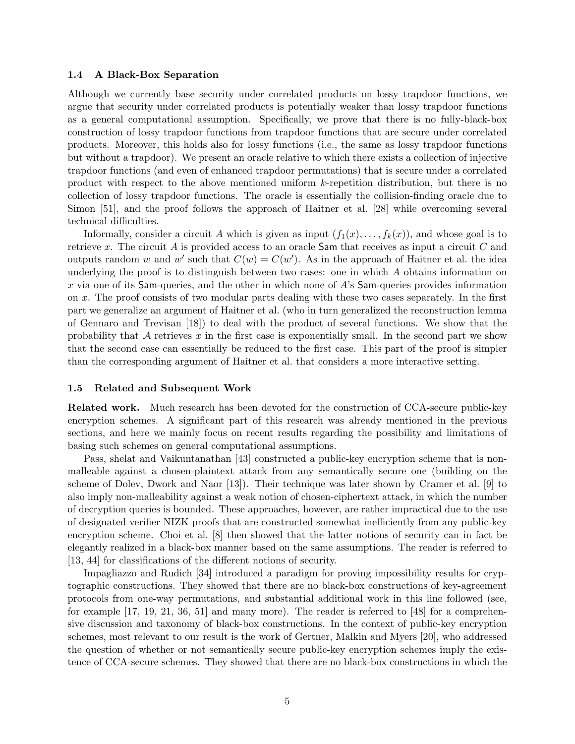#### **1.4 A Black-Box Separation**

Although we currently base security under correlated products on lossy trapdoor functions, we argue that security under correlated products is potentially weaker than lossy trapdoor functions as a general computational assumption. Specifically, we prove that there is no fully-black-box construction of lossy trapdoor functions from trapdoor functions that are secure under correlated products. Moreover, this holds also for lossy functions (i.e., the same as lossy trapdoor functions but without a trapdoor). We present an oracle relative to which there exists a collection of injective trapdoor functions (and even of enhanced trapdoor permutations) that is secure under a correlated product with respect to the above mentioned uniform *k*-repetition distribution, but there is no collection of lossy trapdoor functions. The oracle is essentially the collision-finding oracle due to Simon [[51\]](#page-32-1), and the proof follows the approach of Haitner et al. [\[28\]](#page-30-5) while overcoming several technical difficulties.

Informally, consider a circuit A which is given as input  $(f_1(x),...,f_k(x))$ , and whose goal is to retrieve *x*. The circuit *A* is provided access to an oracle Sam that receives as input a circuit *C* and outputs random *w* and *w'* such that  $C(w) = C(w')$ . As in the approach of Haitner et al. the idea underlying the proof is to distinguish between two cases: one in which *A* obtains information on *x* via one of its Sam-queries, and the other in which none of *A*'s Sam-queries provides information on *x*. The proof consists of two modular parts dealing with these two cases separately. In the first part we generalize an argument of Haitner et al. (who in turn generalized the reconstruction lemma of Gennaro and Trevisan [[18\]](#page-29-8)) to deal with the product of several functions. We show that the probability that *A* retrieves *x* in the first case is exponentially small. In the second part we show that the second case can essentially be reduced to the first case. This part of the proof is simpler than the corresponding argument of Haitner et al. that considers a more interactive setting.

#### **1.5 Related and Subsequent Work**

**Related work.** Much research has been devoted for the construction of CCA-secure public-key encryption schemes. A significant part of this research was already mentioned in the previous sections, and here we mainly focus on recent results regarding the possibility and limitations of basing such schemes on general computational assumptions.

Pass, shelat and Vaikuntanathan [\[43](#page-31-8)] constructed a public-key encryption scheme that is nonmalleable against a chosen-plaintext attack from any semantically secure one (building on the scheme of Dolev, Dwork and Naor [\[13](#page-29-0)]). Their technique was later shown by Cramer et al. [[9](#page-29-9)] to also imply non-malleability against a weak notion of chosen-ciphertext attack, in which the number of decryption queries is bounded. These approaches, however, are rather impractical due to the use of designated verifier NIZK proofs that are constructed somewhat inefficiently from any public-key encryption scheme. Choi et al.  $\vert 8 \vert$  then showed that the latter notions of security can in fact be elegantly realized in a black-box manner based on the same assumptions. The reader is referred to [\[13,](#page-29-0) [44\]](#page-31-9) for classifications of the different notions of security.

Impagliazzo and Rudich [[34\]](#page-30-6) introduced a paradigm for proving impossibility results for cryptographic constructions. They showed that there are no black-box constructions of key-agreement protocols from one-way permutations, and substantial additional work in this line followed (see, for example [\[17](#page-29-11), [19](#page-29-12), [21](#page-30-7), [36](#page-31-10), [51](#page-32-1)] and many more). The reader is referred to [\[48](#page-31-11)] for a comprehensive discussion and taxonomy of black-box constructions. In the context of public-key encryption schemes, most relevant to our result is the work of Gertner, Malkin and Myers [[20\]](#page-30-8), who addressed the question of whether or not semantically secure public-key encryption schemes imply the existence of CCA-secure schemes. They showed that there are no black-box constructions in which the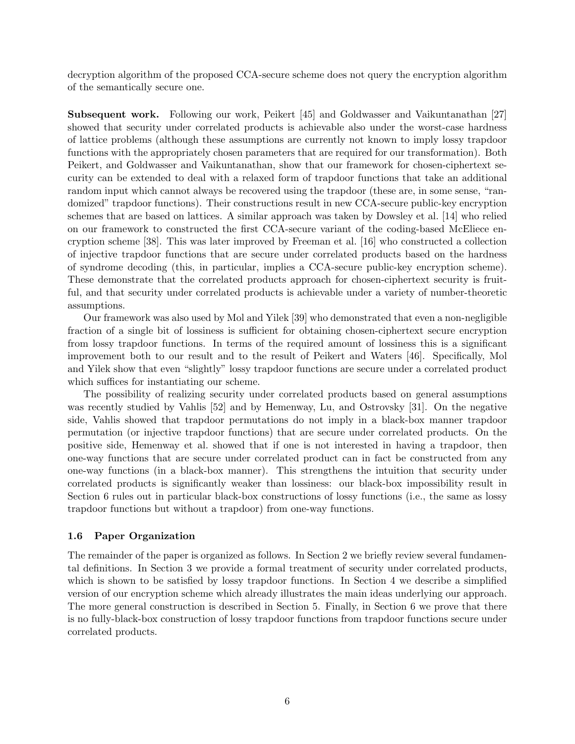decryption algorithm of the proposed CCA-secure scheme does not query the encryption algorithm of the semantically secure one.

**Subsequent work.** Following our work, Peikert [\[45](#page-31-12)] and Goldwasser and Vaikuntanathan [\[27\]](#page-30-9) showed that security under correlated products is achievable also under the worst-case hardness of lattice problems (although these assumptions are currently not known to imply lossy trapdoor functions with the appropriately chosen parameters that are required for our transformation). Both Peikert, and Goldwasser and Vaikuntanathan, show that our framework for chosen-ciphertext security can be extended to deal with a relaxed form of trapdoor functions that take an additional random input which cannot always be recovered using the trapdoor (these are, in some sense, "randomized" trapdoor functions). Their constructions result in new CCA-secure public-key encryption schemes that are based on lattices. A similar approach was taken by Dowsley et al. [[14\]](#page-29-13) who relied on our framework to constructed the first CCA-secure variant of the coding-based McEliece encryption scheme [[38\]](#page-31-13). This was later improved by Freeman et al. [[16\]](#page-29-14) who constructed a collection of injective trapdoor functions that are secure under correlated products based on the hardness of syndrome decoding (this, in particular, implies a CCA-secure public-key encryption scheme). These demonstrate that the correlated products approach for chosen-ciphertext security is fruitful, and that security under correlated products is achievable under a variety of number-theoretic assumptions.

Our framework was also used by Mol and Yilek [\[39](#page-31-14)] who demonstrated that even a non-negligible fraction of a single bit of lossiness is sufficient for obtaining chosen-ciphertext secure encryption from lossy trapdoor functions. In terms of the required amount of lossiness this is a significant improvement both to our result and to the result of Peikert and Waters [[46\]](#page-31-5). Specifically, Mol and Yilek show that even "slightly" lossy trapdoor functions are secure under a correlated product which suffices for instantiating our scheme.

The possibility of realizing security under correlated products based on general assumptions was recently studied by Vahlis [[52\]](#page-32-2) and by Hemenway, Lu, and Ostrovsky [\[31](#page-30-10)]. On the negative side, Vahlis showed that trapdoor permutations do not imply in a black-box manner trapdoor permutation (or injective trapdoor functions) that are secure under correlated products. On the positive side, Hemenway et al. showed that if one is not interested in having a trapdoor, then one-way functions that are secure under correlated product can in fact be constructed from any one-way functions (in a black-box manner). This strengthens the intuition that security under correlated products is significantly weaker than lossiness: our black-box impossibility result in Section [6](#page-20-0) rules out in particular black-box constructions of lossy functions (i.e., the same as lossy trapdoor functions but without a trapdoor) from one-way functions.

# **1.6 Paper Organization**

The remainder of the paper is organized as follows. In Section [2](#page-7-0) we briefly review several fundamental definitions. In Section [3](#page-10-0) we provide a formal treatment of security under correlated products, which is shown to be satisfied by lossy trapdoor functions. In Section [4](#page-11-0) we describe a simplified version of our encryption scheme which already illustrates the main ideas underlying our approach. The more general construction is described in Section [5](#page-16-0). Finally, in Section [6](#page-20-0) we prove that there is no fully-black-box construction of lossy trapdoor functions from trapdoor functions secure under correlated products.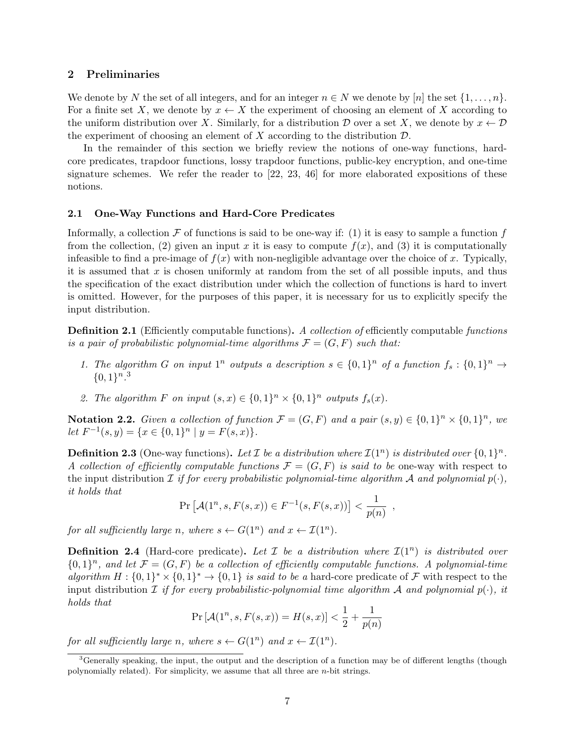## <span id="page-7-0"></span>**2 Preliminaries**

We denote by *N* the set of all integers, and for an integer  $n \in N$  we denote by [*n*] the set  $\{1, \ldots, n\}$ . For a finite set X, we denote by  $x \leftarrow X$  the experiment of choosing an element of X according to the uniform distribution over *X*. Similarly, for a distribution  $D$  over a set *X*, we denote by  $x \leftarrow D$ the experiment of choosing an element of *X* according to the distribution *D*.

In the remainder of this section we briefly review the notions of one-way functions, hardcore predicates, trapdoor functions, lossy trapdoor functions, public-key encryption, and one-time signature schemes. We refer the reader to  $[22, 23, 46]$  $[22, 23, 46]$  $[22, 23, 46]$  $[22, 23, 46]$  $[22, 23, 46]$  $[22, 23, 46]$  for more elaborated expositions of these notions.

#### **2.1 One-Way Functions and Hard-Core Predicates**

Informally, a collection  $\mathcal F$  of functions is said to be one-way if: (1) it is easy to sample a function  $f$ from the collection, (2) given an input x it is easy to compute  $f(x)$ , and (3) it is computationally infeasible to find a pre-image of  $f(x)$  with non-negligible advantage over the choice of x. Typically, it is assumed that  $x$  is chosen uniformly at random from the set of all possible inputs, and thus the specification of the exact distribution under which the collection of functions is hard to invert is omitted. However, for the purposes of this paper, it is necessary for us to explicitly specify the input distribution.

**Definition 2.1** (Efficiently computable functions)**.** *A collection of* efficiently computable *functions is a pair of probabilistic polynomial-time algorithms*  $\mathcal{F} = (G, F)$  *such that:* 

- 1. The algorithm G on input  $1^n$  outputs a description  $s \in \{0,1\}^n$  of a function  $f_s: \{0,1\}^n \to$  $\{0, 1\}$ <sup>n</sup>.<sup>[3](#page-7-1)</sup>
- 2. The algorithm F on input  $(s, x) \in \{0, 1\}^n \times \{0, 1\}^n$  outputs  $f_s(x)$ .

**Notation 2.2.** *Given a collection of function*  $\mathcal{F} = (G, F)$  *and a pair*  $(s, y) \in \{0, 1\}^n \times \{0, 1\}^n$ , we *let*  $F^{-1}(s, y) = \{x \in \{0, 1\}^n | y = F(s, x)\}.$ 

**Definition 2.3** (One-way functions). Let  $\mathcal{I}$  be a distribution where  $\mathcal{I}(1^n)$  is distributed over  $\{0,1\}^n$ . *A collection of efficiently computable functions*  $\mathcal{F} = (G, F)$  *is said to be* one-way with respect to the input distribution *I* if for every probabilistic polynomial-time algorithm *A* and polynomial  $p(\cdot)$ *, it holds that*

$$
\Pr\left[\mathcal{A}(1^n, s, F(s, x)) \in F^{-1}(s, F(s, x))\right] < \frac{1}{p(n)}
$$

*,*

*for all sufficiently large n*, where  $s \leftarrow G(1^n)$  and  $x \leftarrow \mathcal{I}(1^n)$ .

**Definition 2.4** (Hard-core predicate). Let  $\mathcal{I}$  be a distribution where  $\mathcal{I}(1^n)$  is distributed over  ${0,1}^n$ , and let  $\mathcal{F} = (G, F)$  be a collection of efficiently computable functions. A polynomial-time *algorithm*  $H: \{0,1\}^* \times \{0,1\}^* \to \{0,1\}$  *is said to be a* hard-core predicate of  $\mathcal F$  with respect to the input distribution *I* if for every probabilistic-polynomial time algorithm *A* and polynomial  $p(\cdot)$ , it *holds that*

$$
\Pr\left[\mathcal{A}(1^n, s, F(s, x)) = H(s, x)\right] < \frac{1}{2} + \frac{1}{p(n)}
$$

*for all sufficiently large n*, where  $s \leftarrow G(1^n)$  and  $x \leftarrow \mathcal{I}(1^n)$ .

<span id="page-7-1"></span> $3$ Generally speaking, the input, the output and the description of a function may be of different lengths (though polynomially related). For simplicity, we assume that all three are *n*-bit strings.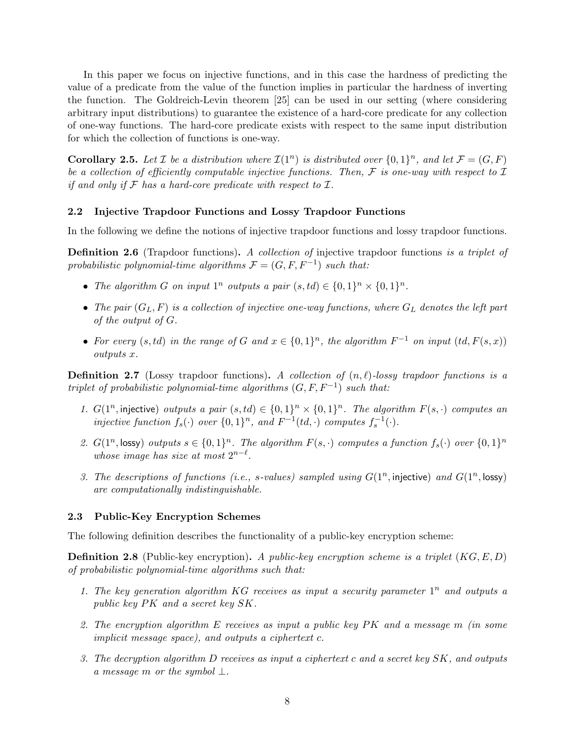In this paper we focus on injective functions, and in this case the hardness of predicting the value of a predicate from the value of the function implies in particular the hardness of inverting the function. The Goldreich-Levin theorem [[25\]](#page-30-13) can be used in our setting (where considering arbitrary input distributions) to guarantee the existence of a hard-core predicate for any collection of one-way functions. The hard-core predicate exists with respect to the same input distribution for which the collection of functions is one-way.

**Corollary 2.5.** Let  $\mathcal{I}$  be a distribution where  $\mathcal{I}(1^n)$  is distributed over  $\{0,1\}^n$ , and let  $\mathcal{F} = (G, F)$ *be a collection of efficiently computable injective functions. Then, F is one-way with respect to I if and only if*  $F$  *has a hard-core predicate with respect to*  $I$ *.* 

## **2.2 Injective Trapdoor Functions and Lossy Trapdoor Functions**

In the following we define the notions of injective trapdoor functions and lossy trapdoor functions.

**Definition 2.6** (Trapdoor functions)**.** *A collection of* injective trapdoor functions *is a triplet of probabilistic polynomial-time algorithms*  $\mathcal{F} = (G, F, F^{-1})$  *such that:* 

- *The algorithm G on input*  $1^n$  *outputs a pair*  $(s, td) \in \{0, 1\}^n \times \{0, 1\}^n$ .
- *The pair*  $(G_L, F)$  *is a collection of injective one-way functions, where*  $G_L$  *denotes the left part of the output of G.*
- For every  $(s, td)$  in the range of  $G$  and  $x \in \{0,1\}^n$ , the algorithm  $F^{-1}$  on input  $(td, F(s, x))$ *outputs x.*

**Definition 2.7** (Lossy trapdoor functions)**.** *A collection of* (*n, ℓ*)*-lossy trapdoor functions is a triplet of probabilistic polynomial-time algorithms*  $(G, F, F^{-1})$  *such that:* 

- 1.  $G(1^n, \text{injective})$  outputs a pair  $(s, td) \in \{0,1\}^n \times \{0,1\}^n$ . The algorithm  $F(s, \cdot)$  computes an *injective function*  $f_s(\cdot)$  *over*  $\{0,1\}^n$ *, and*  $F^{-1}(td,\cdot)$  *computes*  $f_s^{-1}(\cdot)$ *.*
- 2.  $G(1^n, \text{lossy})$  outputs  $s \in \{0,1\}^n$ . The algorithm  $F(s, \cdot)$  computes a function  $f_s(\cdot)$  over  $\{0,1\}^n$ *whose image has size at most*  $2^{n-\ell}$ *.*
- 3. The descriptions of functions (i.e., s-values) sampled using  $G(1^n, \text{injective})$  and  $G(1^n, \text{lossy})$ *are computationally indistinguishable.*

# **2.3 Public-Key Encryption Schemes**

The following definition describes the functionality of a public-key encryption scheme:

**Definition 2.8** (Public-key encryption)**.** *A public-key encryption scheme is a triplet* (*KG, E, D*) *of probabilistic polynomial-time algorithms such that:*

- *1. The key generation algorithm KG receives as input a security parameter* 1 *<sup>n</sup> and outputs a public key PK and a secret key SK.*
- *2. The encryption algorithm E receives as input a public key PK and a message m (in some implicit message space), and outputs a ciphertext c.*
- *3. The decryption algorithm D receives as input a ciphertext c and a secret key SK, and outputs a message m or the symbol ⊥.*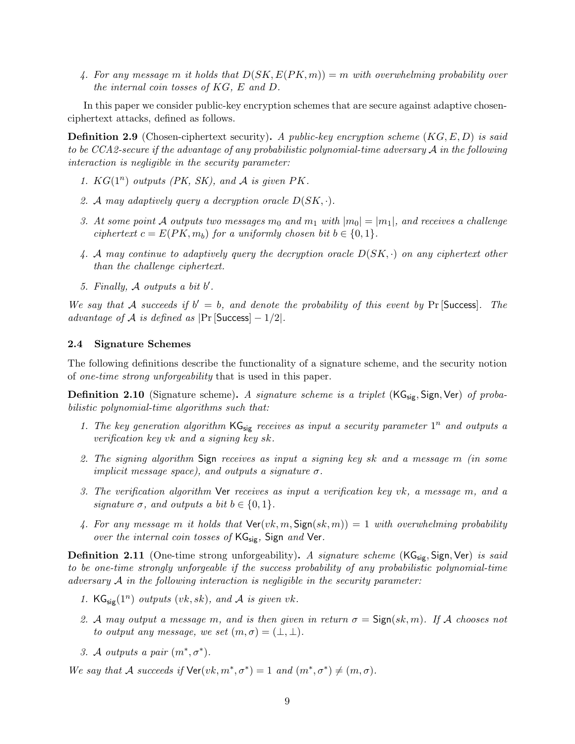*4. For any message m it holds that D*(*SK, E*(*PK, m*)) = *m with overwhelming probability over the internal coin tosses of KG, E and D.*

In this paper we consider public-key encryption schemes that are secure against adaptive chosenciphertext attacks, defined as follows.

<span id="page-9-0"></span>**Definition 2.9** (Chosen-ciphertext security)**.** *A public-key encryption scheme* (*KG, E, D*) *is said to be CCA2-secure if the advantage of any probabilistic polynomial-time adversary A in the following interaction is negligible in the security parameter:*

- 1.  $KG(1^n)$  *outputs (PK, SK), and*  $A$  *is given PK*.
- *2. A may adaptively query a decryption oracle D*(*SK, ·*)*.*
- *3.* At some point A outputs two messages  $m_0$  and  $m_1$  with  $|m_0| = |m_1|$ , and receives a challenge *ciphertext*  $c = E(PK, m_b)$  *for a uniformly chosen bit*  $b \in \{0, 1\}$ *.*
- *4. A may continue to adaptively query the decryption oracle D*(*SK, ·*) *on any ciphertext other than the challenge ciphertext.*
- *5. Finally, A outputs a bit b ′ .*

*We say that A succeeds if*  $b' = b$ *, and denote the probability of this event by* Pr [Success]. The *advantage of*  $A$  *is defined as*  $|Pr|$  Success $| - 1/2|$ *.* 

#### **2.4 Signature Schemes**

The following definitions describe the functionality of a signature scheme, and the security notion of *one-time strong unforgeability* that is used in this paper.

**Definition 2.10** (Signature scheme)**.** *A signature scheme is a triplet* (KGsig*,* Sign*,*Ver) *of probabilistic polynomial-time algorithms such that:*

- 1. The key generation algorithm  $\text{KG}_{sig}$  receives as input a security parameter  $1^n$  and outputs a *verification key vk and a signing key sk.*
- *2. The signing algorithm* Sign *receives as input a signing key sk and a message m (in some implicit message space), and outputs a signature*  $\sigma$ .
- *3. The verification algorithm* Ver *receives as input a verification key vk, a message m, and a signature*  $\sigma$ *, and outputs a bit*  $b \in \{0, 1\}$ *.*
- 4. For any message m it holds that  $\text{Ver}(vk, m, \text{Sign}(sk, m)) = 1$  with overwhelming probability *over the internal coin tosses of*  $KG_{sig}$ , Sign *and* Ver.

**Definition 2.11** (One-time strong unforgeability)**.** *A signature scheme* (KGsig*,* Sign*,*Ver) *is said to be one-time strongly unforgeable if the success probability of any probabilistic polynomial-time adversary A in the following interaction is negligible in the security parameter:*

- 1.  $\mathsf{KG_{sig}}(1^n)$  *outputs*  $(vk, sk)$ *, and A is given vk.*
- 2. *A* may output a message m, and is then given in return  $\sigma = \text{Sign}(sk, m)$ . If *A* chooses not *to output any message, we set*  $(m, \sigma) = (\perp, \perp)$ *.*
- *3. A outputs a pair* (*m<sup>∗</sup> , σ<sup>∗</sup>* )*.*

*We say that A succeeds if*  $\text{Ver}(vk, m^*, \sigma^*) = 1$  *and*  $(m^*, \sigma^*) \neq (m, \sigma)$ *.*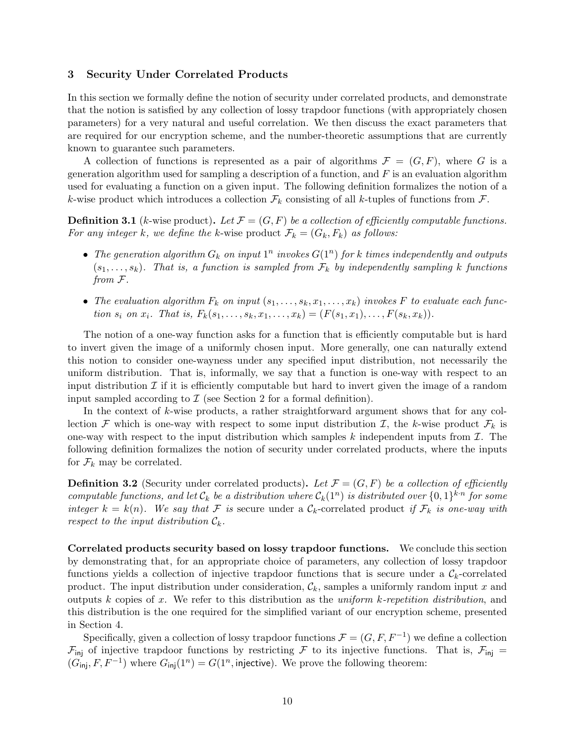# <span id="page-10-0"></span>**3 Security Under Correlated Products**

In this section we formally define the notion of security under correlated products, and demonstrate that the notion is satisfied by any collection of lossy trapdoor functions (with appropriately chosen parameters) for a very natural and useful correlation. We then discuss the exact parameters that are required for our encryption scheme, and the number-theoretic assumptions that are currently known to guarantee such parameters.

A collection of functions is represented as a pair of algorithms  $\mathcal{F} = (G, F)$ , where G is a generation algorithm used for sampling a description of a function, and *F* is an evaluation algorithm used for evaluating a function on a given input. The following definition formalizes the notion of a *k*-wise product which introduces a collection  $\mathcal{F}_k$  consisting of all *k*-tuples of functions from  $\mathcal{F}$ .

**Definition 3.1** (*k*-wise product). Let  $\mathcal{F} = (G, F)$  be a collection of efficiently computable functions. *For any integer k, we define the k*-wise product  $\mathcal{F}_k = (G_k, F_k)$  *as follows:* 

- *• The generation algorithm G<sup>k</sup> on input* 1 *n invokes G*(1*<sup>n</sup>* ) *for k times independently and outputs*  $(s_1, \ldots, s_k)$ . That is, a function is sampled from  $\mathcal{F}_k$  by independently sampling  $k$  functions *from F.*
- The evaluation algorithm  $F_k$  on input  $(s_1, \ldots, s_k, x_1, \ldots, x_k)$  invokes  $F$  to evaluate each function  $s_i$  on  $x_i$ . That is,  $F_k(s_1, \ldots, s_k, x_1, \ldots, x_k) = (F(s_1, x_1), \ldots, F(s_k, x_k)).$

The notion of a one-way function asks for a function that is efficiently computable but is hard to invert given the image of a uniformly chosen input. More generally, one can naturally extend this notion to consider one-wayness under any specified input distribution, not necessarily the uniform distribution. That is, informally, we say that a function is one-way with respect to an input distribution  $\mathcal I$  if it is efficiently computable but hard to invert given the image of a random input sampled according to  $\mathcal I$  (see Section [2](#page-7-0) for a formal definition).

In the context of *k*-wise products, a rather straightforward argument shows that for any collection *F* which is one-way with respect to some input distribution *I*, the *k*-wise product  $\mathcal{F}_k$  is one-way with respect to the input distribution which samples *k* independent inputs from *I*. The following definition formalizes the notion of security under correlated products, where the inputs for  $\mathcal{F}_k$  may be correlated.

**Definition 3.2** (Security under correlated products). Let  $\mathcal{F} = (G, F)$  be a collection of efficiently *computable functions, and let*  $\mathcal{C}_k$  *be a distribution where*  $\mathcal{C}_k(1^n)$  *is distributed over*  $\{0,1\}^{k \cdot n}$  *for some integer*  $k = k(n)$ *. We say that*  $\mathcal F$  *is* secure under a  $\mathcal C_k$ -correlated product *if*  $\mathcal F_k$  *is one-way with respect to the input distribution*  $C_k$ *.* 

**Correlated products security based on lossy trapdoor functions.** We conclude this section by demonstrating that, for an appropriate choice of parameters, any collection of lossy trapdoor functions yields a collection of injective trapdoor functions that is secure under a  $\mathcal{C}_k$ -correlated product. The input distribution under consideration,  $\mathcal{C}_k$ , samples a uniformly random input x and outputs *k* copies of *x*. We refer to this distribution as the *uniform k-repetition distribution*, and this distribution is the one required for the simplified variant of our encryption scheme, presented in Section [4](#page-11-0).

Specifically, given a collection of lossy trapdoor functions  $\mathcal{F} = (G, F, F^{-1})$  we define a collection  $\mathcal{F}_{\text{inj}}$  of injective trapdoor functions by restricting  $\mathcal F$  to its injective functions. That is,  $\mathcal F_{\text{inj}} =$  $(G_{\text{inj}}, F, F^{-1})$  where  $G_{\text{inj}}(1^n) = G(1^n, \text{injective})$ . We prove the following theorem: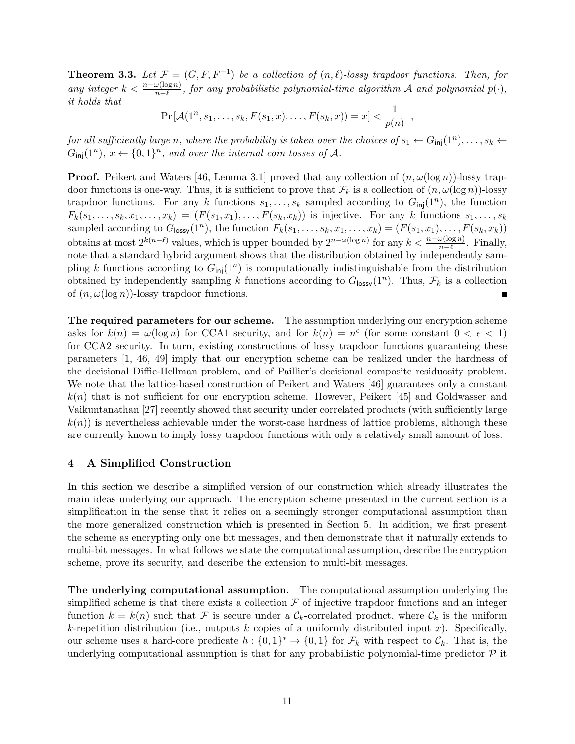**Theorem 3.3.** Let  $\mathcal{F} = (G, F, F^{-1})$  be a collection of  $(n, \ell)$ *-lossy trapdoor functions. Then, for any* integer  $k < \frac{n-\omega(\log n)}{n-\ell}$ , for any probabilistic polynomial-time algorithm *A* and polynomial  $p(\cdot)$ , *it holds that*

$$
\Pr\left[\mathcal{A}(1^n, s_1, \dots, s_k, F(s_1, x), \dots, F(s_k, x)) = x\right] < \frac{1}{p(n)},
$$

*for all sufficiently large n, where the probability is taken over the choices of*  $s_1 \leftarrow G_{\text{inj}}(1^n), \ldots, s_k \leftarrow$  $G_{\text{inj}}(1^n)$ ,  $x \leftarrow \{0,1\}^n$ , and over the internal coin tosses of A.

**Proof.** Peikert and Waters [\[46](#page-31-5), Lemma 3.1] proved that any collection of  $(n, \omega(\log n))$ -lossy trapdoor functions is one-way. Thus, it is sufficient to prove that  $\mathcal{F}_k$  is a collection of  $(n, \omega(\log n))$ -lossy trapdoor functions. For any *k* functions  $s_1, \ldots, s_k$  sampled according to  $G_{\text{inj}}(1^n)$ , the function  $F_k(s_1,\ldots,s_k,x_1,\ldots,x_k)=(F(s_1,x_1),\ldots,F(s_k,x_k))$  is injective. For any k functions  $s_1,\ldots,s_k$ sampled according to  $G_{\text{lossy}}(1^n)$ , the function  $F_k(s_1,\ldots,s_k,x_1,\ldots,x_k)=(F(s_1,x_1),\ldots,F(s_k,x_k))$ obtains at most  $2^{k(n-\ell)}$  values, which is upper bounded by  $2^{n-\omega(\log n)}$  for any  $k < \frac{n-\omega(\log n)}{n-\ell}$ . Finally, note that a standard hybrid argument shows that the distribution obtained by independently sampling *k* functions according to  $G_{\text{inj}}(1^n)$  is computationally indistinguishable from the distribution obtained by independently sampling *k* functions according to  $G_{\text{lossy}}(1^n)$ . Thus,  $\mathcal{F}_k$  is a collection of  $(n, \omega(\log n))$ -lossy trapdoor functions.

**The required parameters for our scheme.** The assumption underlying our encryption scheme asks for  $k(n) = \omega(\log n)$  for CCA1 security, and for  $k(n) = n^{\epsilon}$  (for some constant  $0 < \epsilon < 1$ ) for CCA2 security. In turn, existing constructions of lossy trapdoor functions guaranteing these parameters [[1](#page-28-2), [46,](#page-31-5) [49\]](#page-31-6) imply that our encryption scheme can be realized under the hardness of the decisional Diffie-Hellman problem, and of Paillier's decisional composite residuosity problem. We note that the lattice-based construction of Peikert and Waters [[46\]](#page-31-5) guarantees only a constant *k*(*n*) that is not sufficient for our encryption scheme. However, Peikert [\[45](#page-31-12)] and Goldwasser and Vaikuntanathan [\[27](#page-30-9)] recently showed that security under correlated products (with sufficiently large  $k(n)$  is nevertheless achievable under the worst-case hardness of lattice problems, although these are currently known to imply lossy trapdoor functions with only a relatively small amount of loss.

## <span id="page-11-0"></span>**4 A Simplified Construction**

In this section we describe a simplified version of our construction which already illustrates the main ideas underlying our approach. The encryption scheme presented in the current section is a simplification in the sense that it relies on a seemingly stronger computational assumption than the more generalized construction which is presented in Section [5.](#page-16-0) In addition, we first present the scheme as encrypting only one bit messages, and then demonstrate that it naturally extends to multi-bit messages. In what follows we state the computational assumption, describe the encryption scheme, prove its security, and describe the extension to multi-bit messages.

**The underlying computational assumption.** The computational assumption underlying the simplified scheme is that there exists a collection  $\mathcal F$  of injective trapdoor functions and an integer function  $k = k(n)$  such that F is secure under a  $C_k$ -correlated product, where  $C_k$  is the uniform *k*-repetition distribution (i.e., outputs *k* copies of a uniformly distributed input *x*). Specifically, our scheme uses a hard-core predicate  $h: \{0,1\}^* \to \{0,1\}$  for  $\mathcal{F}_k$  with respect to  $\mathcal{C}_k$ . That is, the underlying computational assumption is that for any probabilistic polynomial-time predictor *P* it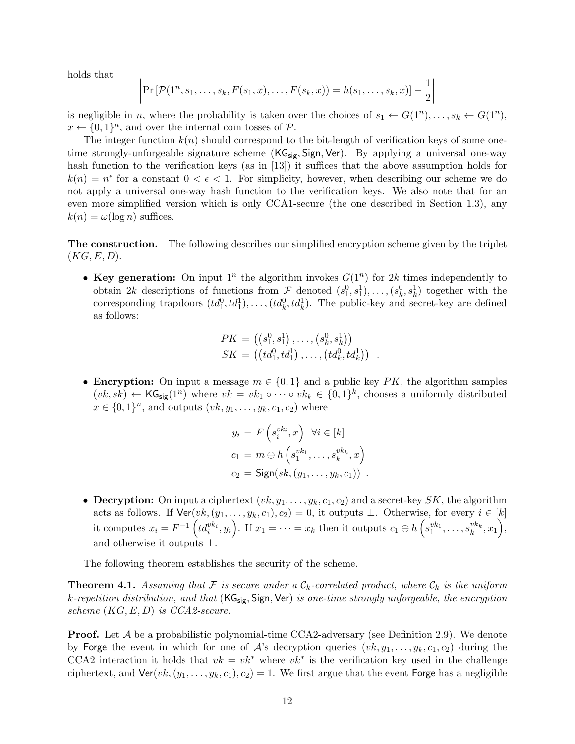holds that

$$
\left| \Pr \left[ \mathcal{P} (1^n, s_1, \dots, s_k, F(s_1, x), \dots, F(s_k, x) \right] = h(s_1, \dots, s_k, x) \right] - \frac{1}{2} \right|
$$

is negligible in *n*, where the probability is taken over the choices of  $s_1 \leftarrow G(1^n), \ldots, s_k \leftarrow G(1^n)$ ,  $x \leftarrow \{0, 1\}^n$ , and over the internal coin tosses of  $P$ .

The integer function  $k(n)$  should correspond to the bit-length of verification keys of some onetime strongly-unforgeable signature scheme (KG<sub>sig</sub>, Sign, Ver). By applying a universal one-way hash function to the verification keys (as in [[13\]](#page-29-0)) it suffices that the above assumption holds for  $k(n) = n^{\epsilon}$  for a constant  $0 < \epsilon < 1$ . For simplicity, however, when describing our scheme we do not apply a universal one-way hash function to the verification keys. We also note that for an even more simplified version which is only CCA1-secure (the one described in Section [1.3\)](#page-3-1), any  $k(n) = \omega(\log n)$  suffices.

**The construction.** The following describes our simplified encryption scheme given by the triplet (*KG, E, D*).

• Key generation: On input  $1^n$  the algorithm invokes  $G(1^n)$  for  $2k$  times independently to obtain 2k descriptions of functions from  $\mathcal{F}$  denoted  $(s_1^0, s_1^1), \ldots, (s_k^0, s_k^1)$  together with the corresponding trapdoors  $(td_1^0, td_1^1), \ldots, (td_k^0, td_k^1)$ . The public-key and secret-key are defined as follows:

$$
PK = ((s_1^0, s_1^1), \ldots, (s_k^0, s_k^1))
$$
  

$$
SK = ((td_1^0, td_1^1), \ldots, (td_k^0, td_k^1))
$$
.

• **Encryption:** On input a message  $m \in \{0, 1\}$  and a public key  $PK$ , the algorithm samples  $(vk, sk) \leftarrow \mathsf{KG}_{sig}(1^n)$  where  $vk = vk_1 \circ \cdots \circ vk_k \in \{0, 1\}^k$ , chooses a uniformly distributed  $x \in \{0, 1\}^n$ , and outputs  $(vk, y_1, \ldots, y_k, c_1, c_2)$  where

$$
y_i = F\left(s_i^{vk_i}, x\right) \ \forall i \in [k]
$$

$$
c_1 = m \oplus h\left(s_1^{vk_1}, \dots, s_k^{vk_k}, x\right)
$$

$$
c_2 = \text{Sign}(sk, (y_1, \dots, y_k, c_1)) \ .
$$

• **Decryption:** On input a ciphertext  $(vk, y_1, \ldots, y_k, c_1, c_2)$  and a secret-key *SK*, the algorithm acts as follows. If  $\text{Ver}(vk, (y_1, \ldots, y_k, c_1), c_2) = 0$ , it outputs  $\perp$ . Otherwise, for every  $i \in [k]$ it computes  $x_i = F^{-1} \left( t d_i^{vk_i}, y_i \right)$ . If  $x_1 = \cdots = x_k$  then it outputs  $c_1 \oplus h \left( s_1^{vk_1}, \ldots, s_k^{vk_k}, x_1 \right)$ , and otherwise it outputs *⊥*.

The following theorem establishes the security of the scheme.

<span id="page-12-0"></span>**Theorem 4.1.** Assuming that  $\mathcal F$  is secure under a  $\mathcal C_k$ -correlated product, where  $\mathcal C_k$  is the uniform *k-repetition distribution, and that* (KGsig*,* Sign*,*Ver) *is one-time strongly unforgeable, the encryption scheme* (*KG, E, D*) *is CCA2-secure.*

**Proof.** Let A be a probabilistic polynomial-time CCA2-adversary (see Definition [2.9\)](#page-9-0). We denote by Forge the event in which for one of  $\mathcal{A}$ 's decryption queries  $(vk, y_1, \ldots, y_k, c_1, c_2)$  during the CCA2 interaction it holds that  $vk = vk^*$  where  $vk^*$  is the verification key used in the challenge ciphertext, and  $\text{Ver}(vk, (y_1, \ldots, y_k, c_1), c_2) = 1$ . We first argue that the event Forge has a negligible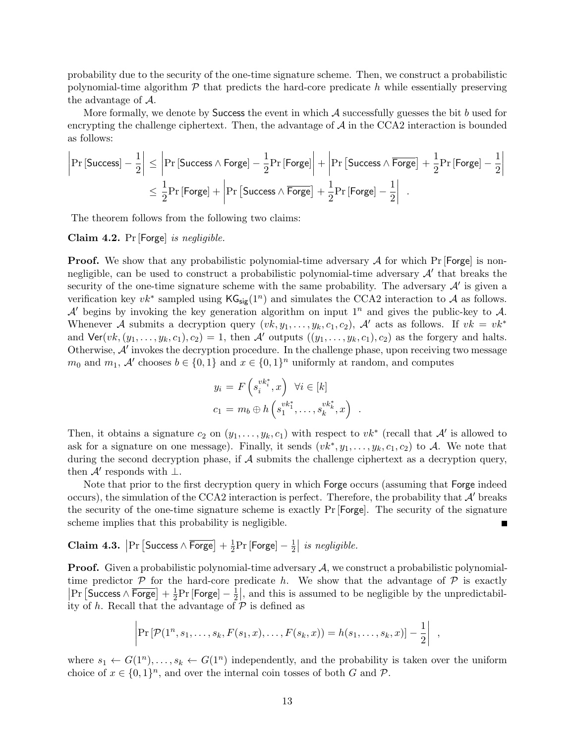probability due to the security of the one-time signature scheme. Then, we construct a probabilistic polynomial-time algorithm  $P$  that predicts the hard-core predicate  $h$  while essentially preserving the advantage of *A*.

More formally, we denote by Success the event in which *A* successfully guesses the bit *b* used for encrypting the challenge ciphertext. Then, the advantage of  $A$  in the CCA2 interaction is bounded as follows:

$$
\left|\Pr\left[\text{Success}\right] - \frac{1}{2}\right| \le \left|\Pr\left[\text{Success} \land \text{Forge}\right] - \frac{1}{2}\Pr\left[\text{Forge}\right]\right| + \left|\Pr\left[\text{Success} \land \overline{\text{Forge}}\right] + \frac{1}{2}\Pr\left[\text{Forge}\right] - \frac{1}{2}\right|
$$

$$
\le \frac{1}{2}\Pr\left[\text{Forge}\right] + \left|\Pr\left[\text{Success} \land \overline{\text{Forge}}\right] + \frac{1}{2}\Pr\left[\text{Forge}\right] - \frac{1}{2}\right|
$$

The theorem follows from the following two claims:

<span id="page-13-0"></span>**Claim 4.2.** Pr [Forge] *is negligible.*

**Proof.** We show that any probabilistic polynomial-time adversary A for which Pr [Forge] is nonnegligible, can be used to construct a probabilistic polynomial-time adversary *A′* that breaks the security of the one-time signature scheme with the same probability. The adversary  $\mathcal{A}'$  is given a verification key  $vk^*$  sampled using  $\mathsf{KG}_{\mathsf{sig}}(1^n)$  and simulates the CCA2 interaction to *A* as follows.  $\mathcal{A}'$  begins by invoking the key generation algorithm on input  $1^n$  and gives the public-key to  $\mathcal{A}$ . Whenever *A* submits a decryption query  $(vk, y_1, \ldots, y_k, c_1, c_2)$ , *A'* acts as follows. If  $vk = vk^*$ and  $\text{Ver}(vk, (y_1, \ldots, y_k, c_1), c_2) = 1$ , then *A'* outputs  $((y_1, \ldots, y_k, c_1), c_2)$  as the forgery and halts. Otherwise,  $A'$  invokes the decryption procedure. In the challenge phase, upon receiving two message *m*<sup>0</sup> and *m*<sub>1</sub>, *A*<sup>*'*</sup> chooses  $b \in \{0, 1\}$  and  $x \in \{0, 1\}$ <sup>*n*</sup> uniformly at random, and computes

$$
y_i = F\left(s_i^{vk_i^*}, x\right) \quad \forall i \in [k]
$$
  

$$
c_1 = m_b \oplus h\left(s_1^{vk_1^*}, \dots, s_k^{vk_k^*}, x\right) .
$$

Then, it obtains a signature  $c_2$  on  $(y_1, \ldots, y_k, c_1)$  with respect to  $vk^*$  (recall that  $\mathcal{A}'$  is allowed to ask for a signature on one message). Finally, it sends  $(vk^*, y_1, \ldots, y_k, c_1, c_2)$  to A. We note that during the second decryption phase, if *A* submits the challenge ciphertext as a decryption query, then *A′* responds with *⊥*.

Note that prior to the first decryption query in which Forge occurs (assuming that Forge indeed occurs), the simulation of the CCA2 interaction is perfect. Therefore, the probability that *A′* breaks the security of the one-time signature scheme is exactly Pr [Forge]. The security of the signature scheme implies that this probability is negligible.

<span id="page-13-1"></span> $\textbf{Claim 4.3.} \; \left| \Pr \left[ \textsf{Success} \wedge \overline{\textsf{Forge}} \right] + \frac{1}{2} \right.$  $\frac{1}{2}\mathrm{Pr}\left[\mathsf{Forge}\right] - \frac{1}{2}$  $\frac{1}{2}$  *is negligible.* 

**Proof.** Given a probabilistic polynomial-time adversary A, we construct a probabilistic polynomialtime predictor  $P$  for the hard-core predicate h. We show that the advantage of  $P$  is exactly  $\left|\Pr\left[\text{Success} \wedge \overline{\text{Forge}}\right] + \frac{1}{2}\right|$  $\frac{1}{2}\mathrm{Pr}\left[\mathsf{Forge}\right] - \frac{1}{2}$  $\frac{1}{2}$ , and this is assumed to be negligible by the unpredictability of  $h$ . Recall that the advantage of  $P$  is defined as

$$
\left| \Pr \left[ \mathcal{P} (1^n, s_1, \ldots, s_k, F(s_1, x), \ldots, F(s_k, x) ) = h(s_1, \ldots, s_k, x) \right] - \frac{1}{2} \right| ,
$$

where  $s_1 \leftarrow G(1^n), \ldots, s_k \leftarrow G(1^n)$  independently, and the probability is taken over the uniform choice of  $x \in \{0,1\}^n$ , and over the internal coin tosses of both *G* and *P*.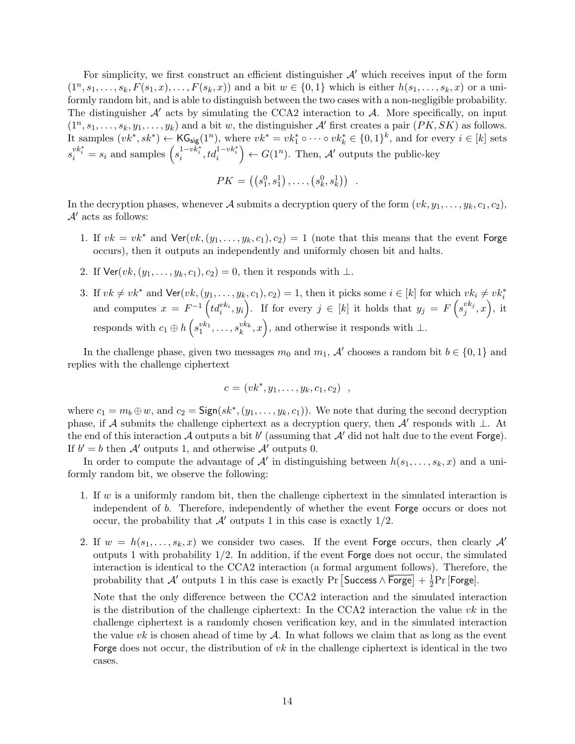For simplicity, we first construct an efficient distinguisher  $A'$  which receives input of the form  $(1^n, s_1, \ldots, s_k, F(s_1, x), \ldots, F(s_k, x))$  and a bit  $w \in \{0, 1\}$  which is either  $h(s_1, \ldots, s_k, x)$  or a uniformly random bit, and is able to distinguish between the two cases with a non-negligible probability. The distinguisher *A′* acts by simulating the CCA2 interaction to *A*. More specifically, on input  $(1^n, s_1, \ldots, s_k, y_1, \ldots, y_k)$  and a bit *w*, the distinguisher *A'* first creates a pair  $(PK, SK)$  as follows. It samples  $(vk^*, sk^*) \leftarrow \mathsf{KG}_{sig}(1^n)$ , where  $vk^* = vk_1^* \circ \cdots \circ vk_k^* \in \{0,1\}^k$ , and for every  $i \in [k]$  sets  $s_i^{vk_i^*} = s_i$  and samples  $(s_i^{1 - v\vec{k_i}^*}, td_i^{1 - vk_i^*})$  $\phi$  +  $G(1^n)$ . Then, *A*<sup>*'*</sup> outputs the public-key

$$
PK = ((s_1^0, s_1^1), \ldots, (s_k^0, s_k^1)) \ .
$$

In the decryption phases, whenever *A* submits a decryption query of the form  $(vk, y_1, \ldots, y_k, c_1, c_2)$ , *A′* acts as follows:

- 1. If  $vk = vk^*$  and  $Ver(vk, (y_1, \ldots, y_k, c_1), c_2) = 1$  (note that this means that the event Forge occurs), then it outputs an independently and uniformly chosen bit and halts.
- 2. If  $\text{Ver}(vk, (y_1, \ldots, y_k, c_1), c_2) = 0$ , then it responds with  $\perp$ .
- 3. If  $vk \neq vk^*$  and  $\text{Ver}(vk, (y_1, \ldots, y_k, c_1), c_2) = 1$ , then it picks some  $i \in [k]$  for which  $vk_i \neq vk_i^*$ and computes  $x = F^{-1}(td_i^{vk_i}, y_i)$ . If for every  $j \in [k]$  it holds that  $y_j = F(s_j^{vk_j})$  $\binom{vk_j}{j}, x$ , it responds with  $c_1 \oplus h(s_1^{vk_1}, \ldots, s_k^{vk_k}, x)$ , and otherwise it responds with  $\perp$ .

In the challenge phase, given two messages  $m_0$  and  $m_1$ ,  $A'$  chooses a random bit  $b \in \{0, 1\}$  and replies with the challenge ciphertext

$$
c = (vk^*, y_1, \ldots, y_k, c_1, c_2) ,
$$

where  $c_1 = m_b \oplus w$ , and  $c_2 = \text{Sign}(sk^*, (y_1, \ldots, y_k, c_1))$ . We note that during the second decryption phase, if *A* submits the challenge ciphertext as a decryption query, then *A′* responds with *⊥*. At the end of this interaction  $A$  outputs a bit  $b'$  (assuming that  $A'$  did not halt due to the event Forge). If  $b' = b$  then  $A'$  outputs 1, and otherwise  $A'$  outputs 0.

In order to compute the advantage of  $\mathcal{A}'$  in distinguishing between  $h(s_1, \ldots, s_k, x)$  and a uniformly random bit, we observe the following:

- 1. If *w* is a uniformly random bit, then the challenge ciphertext in the simulated interaction is independent of *b*. Therefore, independently of whether the event Forge occurs or does not occur, the probability that  $A'$  outputs 1 in this case is exactly  $1/2$ .
- 2. If  $w = h(s_1, \ldots, s_k, x)$  we consider two cases. If the event Forge occurs, then clearly  $\mathcal{A}'$ outputs 1 with probability 1*/*2. In addition, if the event Forge does not occur, the simulated interaction is identical to the CCA2 interaction (a formal argument follows). Therefore, the probability that *A'* outputs 1 in this case is exactly Pr  $\left[\mathsf{Success} \wedge \overline{\mathsf{Forge}}\right] + \frac{1}{2}$  $\frac{1}{2}$ Pr [Forge].

Note that the only difference between the CCA2 interaction and the simulated interaction is the distribution of the challenge ciphertext: In the CCA2 interaction the value *vk* in the challenge ciphertext is a randomly chosen verification key, and in the simulated interaction the value  $vk$  is chosen ahead of time by  $A$ . In what follows we claim that as long as the event Forge does not occur, the distribution of *vk* in the challenge ciphertext is identical in the two cases.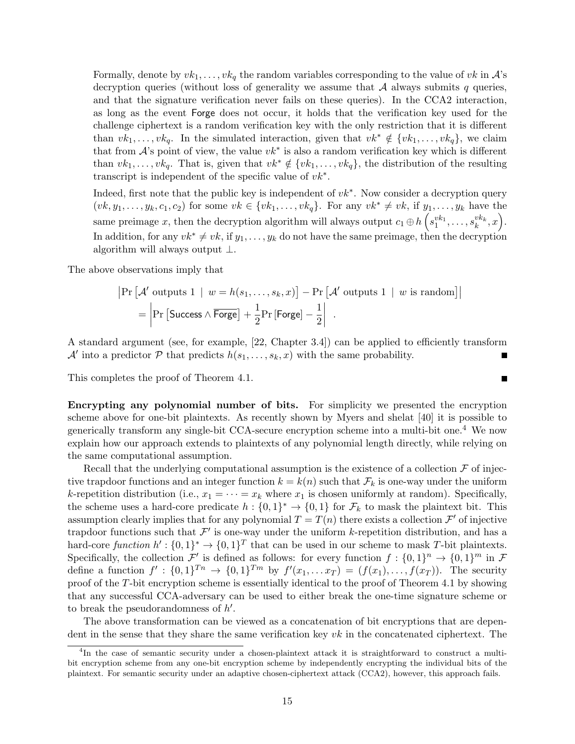Formally, denote by  $vk_1, \ldots, vk_q$  the random variables corresponding to the value of  $vk$  in  $\mathcal{A}$ 's decryption queries (without loss of generality we assume that *A* always submits *q* queries, and that the signature verification never fails on these queries). In the CCA2 interaction, as long as the event Forge does not occur, it holds that the verification key used for the challenge ciphertext is a random verification key with the only restriction that it is different than  $vk_1, \ldots, vk_q$ . In the simulated interaction, given that  $vk^* \notin \{vk_1, \ldots, vk_q\}$ , we claim that from *A*'s point of view, the value *vk<sup>∗</sup>* is also a random verification key which is different than  $vk_1, \ldots, vk_q$ . That is, given that  $vk^* \notin \{vk_1, \ldots, vk_q\}$ , the distribution of the resulting transcript is independent of the specific value of *vk<sup>∗</sup>* .

Indeed, first note that the public key is independent of *vk<sup>∗</sup>* . Now consider a decryption query  $(vk, y_1, \ldots, y_k, c_1, c_2)$  for some  $vk \in \{vk_1, \ldots, vk_q\}$ . For any  $vk^* \neq vk$ , if  $y_1, \ldots, y_k$  have the same preimage *x*, then the decryption algorithm will always output  $c_1 \oplus h\left(s_1^{vk_1}, \ldots, s_k^{vk_k}, x\right)$ . In addition, for any  $vk^* \neq vk$ , if  $y_1, \ldots, y_k$  do not have the same preimage, then the decryption algorithm will always output *⊥*.

The above observations imply that

$$
|\Pr[\mathcal{A'} \text{ outputs } 1 \mid w = h(s_1, ..., s_k, x)] - \Pr[\mathcal{A'} \text{ outputs } 1 \mid w \text{ is random}]|
$$
  
=  $|\Pr[\text{Success } \land \overline{\text{Forge}}] + \frac{1}{2}\Pr[\text{Forge}] - \frac{1}{2} |$ .

A standard argument (see, for example, [[22,](#page-30-11) Chapter 3.4]) can be applied to efficiently transform *A*<sup> $\prime$ </sup> into a predictor *P* that predicts  $h(s_1, \ldots, s_k, x)$  with the same probability.

П

This completes the proof of Theorem [4.1](#page-12-0).

**Encrypting any polynomial number of bits.** For simplicity we presented the encryption scheme above for one-bit plaintexts. As recently shown by Myers and shelat [\[40](#page-31-15)] it is possible to generically transform any single-bit CCA-secure encryption scheme into a multi-bit one.[4](#page-15-0) We now explain how our approach extends to plaintexts of any polynomial length directly, while relying on the same computational assumption.

Recall that the underlying computational assumption is the existence of a collection  $\mathcal F$  of injective trapdoor functions and an integer function  $k = k(n)$  such that  $\mathcal{F}_k$  is one-way under the uniform *k*-repetition distribution (i.e.,  $x_1 = \cdots = x_k$  where  $x_1$  is chosen uniformly at random). Specifically, the scheme uses a hard-core predicate  $h: \{0,1\}^* \to \{0,1\}$  for  $\mathcal{F}_k$  to mask the plaintext bit. This assumption clearly implies that for any polynomial  $T = T(n)$  there exists a collection  $\mathcal{F}'$  of injective trapdoor functions such that  $\mathcal{F}'$  is one-way under the uniform *k*-repetition distribution, and has a hard-core function  $h' : \{0,1\}^* \to \{0,1\}^T$  that can be used in our scheme to mask *T*-bit plaintexts. Specifically, the collection  $\mathcal{F}'$  is defined as follows: for every function  $f: \{0,1\}^n \to \{0,1\}^m$  in  $\mathcal{F}'$ define a function  $f' : \{0,1\}^{T_n} \to \{0,1\}^{T_m}$  by  $f'(x_1,...x_T) = (f(x_1),...,f(x_T))$ . The security proof of the *T*-bit encryption scheme is essentially identical to the proof of Theorem [4.1](#page-12-0) by showing that any successful CCA-adversary can be used to either break the one-time signature scheme or to break the pseudorandomness of *h ′* .

The above transformation can be viewed as a concatenation of bit encryptions that are dependent in the sense that they share the same verification key *vk* in the concatenated ciphertext. The

<span id="page-15-0"></span><sup>&</sup>lt;sup>4</sup>In the case of semantic security under a chosen-plaintext attack it is straightforward to construct a multibit encryption scheme from any one-bit encryption scheme by independently encrypting the individual bits of the plaintext. For semantic security under an adaptive chosen-ciphertext attack (CCA2), however, this approach fails.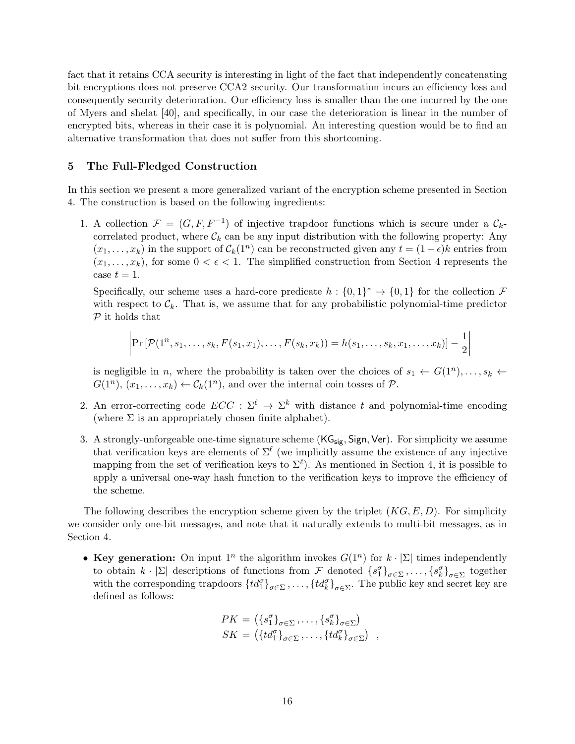fact that it retains CCA security is interesting in light of the fact that independently concatenating bit encryptions does not preserve CCA2 security. Our transformation incurs an efficiency loss and consequently security deterioration. Our efficiency loss is smaller than the one incurred by the one of Myers and shelat [[40](#page-31-15)], and specifically, in our case the deterioration is linear in the number of encrypted bits, whereas in their case it is polynomial. An interesting question would be to find an alternative transformation that does not suffer from this shortcoming.

# <span id="page-16-0"></span>**5 The Full-Fledged Construction**

In this section we present a more generalized variant of the encryption scheme presented in Section [4](#page-11-0). The construction is based on the following ingredients:

1. A collection  $\mathcal{F} = (G, F, F^{-1})$  of injective trapdoor functions which is secure under a  $\mathcal{C}_k$ correlated product, where  $\mathcal{C}_k$  can be any input distribution with the following property: Any  $(x_1, \ldots, x_k)$  in the support of  $\mathcal{C}_k(1^n)$  can be reconstructed given any  $t = (1 - \epsilon)k$  entries from  $(x_1, \ldots, x_k)$ , for some  $0 < \epsilon < 1$ . The simplified construction from Section [4](#page-11-0) represents the case  $t=1$ .

Specifically, our scheme uses a hard-core predicate  $h: \{0,1\}^* \to \{0,1\}$  for the collection  $\mathcal F$ with respect to  $\mathcal{C}_k$ . That is, we assume that for any probabilistic polynomial-time predictor *P* it holds that

$$
\left| \Pr \left[ \mathcal{P} (1^n, s_1, \dots, s_k, F(s_1, x_1), \dots, F(s_k, x_k)) = h(s_1, \dots, s_k, x_1, \dots, x_k) \right] - \frac{1}{2} \right|
$$

is negligible in *n*, where the probability is taken over the choices of  $s_1 \leftarrow G(1^n), \ldots, s_k \leftarrow$  $G(1^n)$ ,  $(x_1, \ldots, x_k) \leftarrow C_k(1^n)$ , and over the internal coin tosses of  $P$ .

- 2. An error-correcting code  $ECC : \Sigma^{\ell} \to \Sigma^{k}$  with distance *t* and polynomial-time encoding (where  $\Sigma$  is an appropriately chosen finite alphabet).
- 3. A strongly-unforgeable one-time signature scheme (KGsig*,* Sign*,*Ver). For simplicity we assume that verification keys are elements of  $\Sigma^{\ell}$  (we implicitly assume the existence of any injective mapping from the set of verification keys to  $\Sigma^{\ell}$ ). As mentioned in Section [4,](#page-11-0) it is possible to apply a universal one-way hash function to the verification keys to improve the efficiency of the scheme.

The following describes the encryption scheme given by the triplet (*KG, E, D*). For simplicity we consider only one-bit messages, and note that it naturally extends to multi-bit messages, as in Section [4.](#page-11-0)

• Key generation: On input  $1^n$  the algorithm invokes  $G(1^n)$  for  $k \cdot |\Sigma|$  times independently to obtain  $k \cdot |\Sigma|$  descriptions of functions from F denoted  $\{s_1^{\sigma}\}_{\sigma \in \Sigma}$ ,...,  $\{s_k^{\sigma}\}_{\sigma \in \Sigma}$  together with the corresponding trapdoors  $\{td_1^{\sigma}\}_{\sigma \in \Sigma}$ , ...,  $\{td_k^{\sigma}\}_{\sigma \in \Sigma}$ . The public key and secret key are defined as follows:

$$
PK = (\{s_1^{\sigma}\}_{\sigma \in \Sigma}, \dots, \{s_k^{\sigma}\}_{\sigma \in \Sigma})
$$
  

$$
SK = (\{td_1^{\sigma}\}_{\sigma \in \Sigma}, \dots, \{td_k^{\sigma}\}_{\sigma \in \Sigma})
$$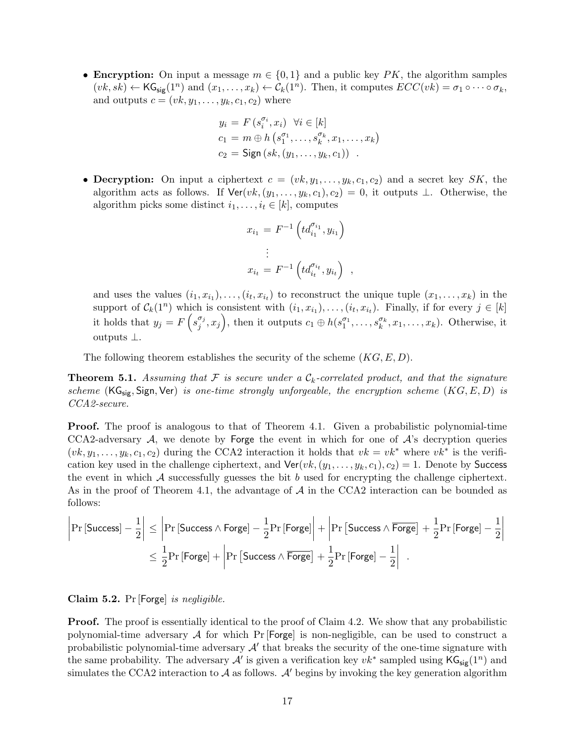• **Encryption:** On input a message  $m \in \{0, 1\}$  and a public key  $PK$ , the algorithm samples  $(vk, sk) \leftarrow \text{KG}_{sig}(1^n)$  and  $(x_1, \ldots, x_k) \leftarrow C_k(1^n)$ . Then, it computes  $ECC(vk) = \sigma_1 \circ \cdots \circ \sigma_k$ , and outputs  $c = (vk, y_1, \ldots, y_k, c_1, c_2)$  where

$$
y_i = F(s_i^{\sigma_i}, x_i) \quad \forall i \in [k]
$$
  
\n
$$
c_1 = m \oplus h(s_1^{\sigma_1}, \dots, s_k^{\sigma_k}, x_1, \dots, x_k)
$$
  
\n
$$
c_2 = \text{Sign}(sk, (y_1, \dots, y_k, c_1)) .
$$

• **Decryption:** On input a ciphertext  $c = (vk, y_1, \ldots, y_k, c_1, c_2)$  and a secret key *SK*, the algorithm acts as follows. If  $\text{Ver}(vk, (y_1, \ldots, y_k, c_1), c_2) = 0$ , it outputs  $\perp$ . Otherwise, the algorithm picks some distinct  $i_1, \ldots, i_t \in [k]$ , computes

$$
x_{i_1} = F^{-1}\left(t d_{i_1}^{\sigma_{i_1}}, y_{i_1}\right)
$$

$$
\vdots
$$

$$
x_{i_t} = F^{-1}\left(t d_{i_t}^{\sigma_{i_t}}, y_{i_t}\right)
$$

*,*

and uses the values  $(i_1, x_{i_1}), \ldots, (i_t, x_{i_t})$  to reconstruct the unique tuple  $(x_1, \ldots, x_k)$  in the support of  $\mathcal{C}_k(1^n)$  which is consistent with  $(i_1, x_{i_1}), \ldots, (i_t, x_{i_t})$ . Finally, if for every  $j \in [k]$ it holds that  $y_j = F\left(s_j^{\sigma_j}\right)$  $\sigma_j$ ,  $x_j$ ), then it outputs  $c_1 \oplus h(s_1^{\sigma_1}, \ldots, s_k^{\sigma_k}, x_1, \ldots, x_k)$ . Otherwise, it outputs *⊥*.

The following theorem establishes the security of the scheme (*KG, E, D*).

**Theorem 5.1.** Assuming that F is secure under a  $\mathcal{C}_k$ -correlated product, and that the signature *scheme* (KGsig*,* Sign*,*Ver) *is one-time strongly unforgeable, the encryption scheme* (*KG, E, D*) *is CCA2-secure.*

**Proof.** The proof is analogous to that of Theorem [4.1.](#page-12-0) Given a probabilistic polynomial-time CCA2-adversary  $A$ , we denote by Forge the event in which for one of  $A$ 's decryption queries  $(vk, y_1, \ldots, y_k, c_1, c_2)$  during the CCA2 interaction it holds that  $vk = vk^*$  where  $vk^*$  is the verification key used in the challenge ciphertext, and  $\text{Ver}(vk, (y_1, \ldots, y_k, c_1), c_2) = 1$ . Denote by Success the event in which *A* successfully guesses the bit *b* used for encrypting the challenge ciphertext. As in the proof of Theorem [4.1,](#page-12-0) the advantage of *A* in the CCA2 interaction can be bounded as follows:

$$
\left|\Pr\left[\text{Success}\right] - \frac{1}{2}\right| \le \left|\Pr\left[\text{Success} \land \text{Forge}\right] - \frac{1}{2}\Pr\left[\text{Forge}\right]\right| + \left|\Pr\left[\text{Success} \land \overline{\text{Forge}}\right] + \frac{1}{2}\Pr\left[\text{Forge}\right] - \frac{1}{2}\right|
$$

$$
\le \frac{1}{2}\Pr\left[\text{Forge}\right] + \left|\Pr\left[\text{Success} \land \overline{\text{Forge}}\right] + \frac{1}{2}\Pr\left[\text{Forge}\right] - \frac{1}{2}\right|
$$

**Claim 5.2.** Pr [Forge] *is negligible.*

**Proof.** The proof is essentially identical to the proof of Claim [4.2.](#page-13-0) We show that any probabilistic polynomial-time adversary *A* for which Pr [Forge] is non-negligible, can be used to construct a probabilistic polynomial-time adversary  $A'$  that breaks the security of the one-time signature with the same probability. The adversary  $\mathcal{A}'$  is given a verification key  $vk^*$  sampled using  $\mathsf{KG}_{\mathsf{sig}}(1^n)$  and simulates the CCA2 interaction to  $\mathcal A$  as follows.  $\mathcal A'$  begins by invoking the key generation algorithm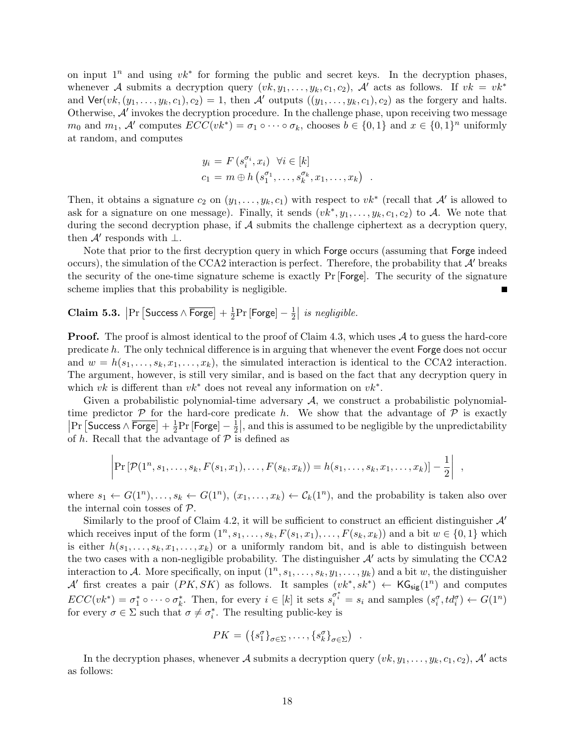on input  $1^n$  and using  $vk^*$  for forming the public and secret keys. In the decryption phases, whenever *A* submits a decryption query  $(vk, y_1, \ldots, y_k, c_1, c_2)$ , *A'* acts as follows. If  $vk = vk^*$ and  $\textsf{Ver}(vk, (y_1, \ldots, y_k, c_1), c_2) = 1$ , then *A'* outputs  $((y_1, \ldots, y_k, c_1), c_2)$  as the forgery and halts. Otherwise,  $A'$  invokes the decryption procedure. In the challenge phase, upon receiving two message  $m_0$  and  $m_1$ , A' computes  $ECC(vk^*) = \sigma_1 \circ \cdots \circ \sigma_k$ , chooses  $b \in \{0,1\}$  and  $x \in \{0,1\}^n$  uniformly at random, and computes

$$
y_i = F(s_i^{\sigma_i}, x_i) \quad \forall i \in [k]
$$
  

$$
c_1 = m \oplus h(s_1^{\sigma_1}, \dots, s_k^{\sigma_k}, x_1, \dots, x_k) .
$$

Then, it obtains a signature  $c_2$  on  $(y_1, \ldots, y_k, c_1)$  with respect to  $vk^*$  (recall that  $\mathcal{A}'$  is allowed to ask for a signature on one message). Finally, it sends  $(vk^*, y_1, \ldots, y_k, c_1, c_2)$  to A. We note that during the second decryption phase, if *A* submits the challenge ciphertext as a decryption query, then *A′* responds with *⊥*.

Note that prior to the first decryption query in which Forge occurs (assuming that Forge indeed occurs), the simulation of the CCA2 interaction is perfect. Therefore, the probability that *A′* breaks the security of the one-time signature scheme is exactly Pr [Forge]. The security of the signature scheme implies that this probability is negligible.

 $\textbf{Claim 5.3.} \; \left| \Pr \left[ \textsf{Success} \wedge \overline{\textsf{Forge}} \right] + \frac{1}{2} \right.$  $\frac{1}{2}\mathrm{Pr}\left[\mathsf{Forge}\right] - \frac{1}{2}$  $\frac{1}{2}$  *is negligible.* 

**Proof.** The proof is almost identical to the proof of Claim [4.3](#page-13-1), which uses A to guess the hard-core predicate *h*. The only technical difference is in arguing that whenever the event Forge does not occur and  $w = h(s_1, \ldots, s_k, x_1, \ldots, x_k)$ , the simulated interaction is identical to the CCA2 interaction. The argument, however, is still very similar, and is based on the fact that any decryption query in which *vk* is different than  $vk^*$  does not reveal any information on  $vk^*$ .

Given a probabilistic polynomial-time adversary *A*, we construct a probabilistic polynomialtime predictor  $P$  for the hard-core predicate h. We show that the advantage of  $P$  is exactly  $\left|\Pr\left[\text{Success} \wedge \overline{\text{Forge}}\right] + \frac{1}{2}\right|$  $\frac{1}{2}\mathrm{Pr}\left[\mathsf{Forge}\right] - \frac{1}{2}$  $\frac{1}{2}$ , and this is assumed to be negligible by the unpredictability of  $h$ . Recall that the advantage of  $P$  is defined as

$$
\left| \Pr \left[ \mathcal{P}(1^n, s_1, \ldots, s_k, F(s_1, x_1), \ldots, F(s_k, x_k) \right) = h(s_1, \ldots, s_k, x_1, \ldots, x_k) \right] - \frac{1}{2} \right| ,
$$

where  $s_1 \leftarrow G(1^n), \ldots, s_k \leftarrow G(1^n), (x_1, \ldots, x_k) \leftarrow C_k(1^n)$ , and the probability is taken also over the internal coin tosses of *P*.

Similarly to the proof of Claim [4.2](#page-13-0), it will be sufficient to construct an efficient distinguisher  $A'$ which receives input of the form  $(1^n, s_1, \ldots, s_k, F(s_1, x_1), \ldots, F(s_k, x_k))$  and a bit  $w \in \{0, 1\}$  which is either  $h(s_1, \ldots, s_k, x_1, \ldots, x_k)$  or a uniformly random bit, and is able to distinguish between the two cases with a non-negligible probability. The distinguisher  $A'$  acts by simulating the CCA2 interaction to A. More specifically, on input  $(1^n, s_1, \ldots, s_k, y_1, \ldots, y_k)$  and a bit *w*, the distinguisher *A*<sup>*'*</sup> first creates a pair  $(PK, SK)$  as follows. It samples  $(vk^*, sk^*) \leftarrow \mathsf{KG}_{sig}(1^n)$  and computes  $ECC(vk^*) = \sigma_1^* \circ \cdots \circ \sigma_k^*$ . Then, for every  $i \in [k]$  it sets  $s_i^{\sigma_i^*} = s_i$  and samples  $(s_i^{\sigma}, td_i^{\sigma}) \leftarrow G(1^n)$ for every  $\sigma \in \Sigma$  such that  $\sigma \neq \sigma_i^*$ . The resulting public-key is

$$
PK = (\{s_1^{\sigma}\}_{\sigma \in \Sigma}, \ldots, \{s_k^{\sigma}\}_{\sigma \in \Sigma}) \ .
$$

In the decryption phases, whenever *A* submits a decryption query  $(vk, y_1, \ldots, y_k, c_1, c_2)$ , *A'* acts as follows: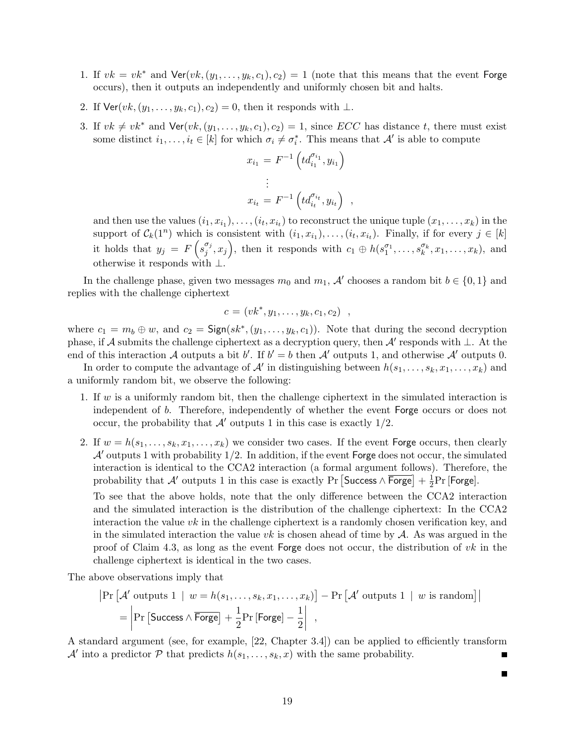- 1. If  $vk = vk^*$  and  $\text{Ver}(vk, (y_1, \ldots, y_k, c_1), c_2) = 1$  (note that this means that the event Forge occurs), then it outputs an independently and uniformly chosen bit and halts.
- 2. If  $\text{Ver}(vk, (y_1, \ldots, y_k, c_1), c_2) = 0$ , then it responds with  $\perp$ .
- 3. If  $vk \neq vk^*$  and  $Ver(vk, (y_1, \ldots, y_k, c_1), c_2) = 1$ , since *ECC* has distance *t*, there must exist some distinct  $i_1, \ldots, i_t \in [k]$  for which  $\sigma_i \neq \sigma_i^*$ . This means that  $\mathcal{A}'$  is able to compute

$$
x_{i_1} = F^{-1}\left(t d_{i_1}^{\sigma_{i_1}}, y_{i_1}\right)
$$

$$
\vdots
$$

$$
x_{i_t} = F^{-1}\left(t d_{i_t}^{\sigma_{i_t}}, y_{i_t}\right)
$$

*,*

and then use the values  $(i_1, x_{i_1}), \ldots, (i_t, x_{i_t})$  to reconstruct the unique tuple  $(x_1, \ldots, x_k)$  in the support of  $\mathcal{C}_k(1^n)$  which is consistent with  $(i_1, x_{i_1}), \ldots, (i_t, x_{i_t})$ . Finally, if for every  $j \in [k]$ it holds that  $y_j = F\left(s_j^{\sigma_j}\right)$  $\sigma_j$ <sup>*d*</sup></sup>,  $x_j$ ), then it responds with  $c_1 \oplus h(s_1^{\sigma_1}, \ldots, s_k^{\sigma_k}, x_1, \ldots, x_k)$ , and otherwise it responds with *⊥*.

In the challenge phase, given two messages  $m_0$  and  $m_1$ ,  $A'$  chooses a random bit  $b \in \{0, 1\}$  and replies with the challenge ciphertext

$$
c = (vk^*, y_1, \ldots, y_k, c_1, c_2) ,
$$

where  $c_1 = m_b \oplus w$ , and  $c_2 = \text{Sign}(sk^*, (y_1, \ldots, y_k, c_1))$ . Note that during the second decryption phase, if *A* submits the challenge ciphertext as a decryption query, then *A′* responds with *⊥*. At the end of this interaction  $\mathcal A$  outputs a bit  $b'$ . If  $b' = b$  then  $\mathcal A'$  outputs 1, and otherwise  $\mathcal A'$  outputs 0.

In order to compute the advantage of  $\mathcal{A}'$  in distinguishing between  $h(s_1, \ldots, s_k, x_1, \ldots, x_k)$  and a uniformly random bit, we observe the following:

- 1. If *w* is a uniformly random bit, then the challenge ciphertext in the simulated interaction is independent of *b*. Therefore, independently of whether the event Forge occurs or does not occur, the probability that  $A'$  outputs 1 in this case is exactly  $1/2$ .
- 2. If  $w = h(s_1, \ldots, s_k, x_1, \ldots, x_k)$  we consider two cases. If the event Forge occurs, then clearly *A′* outputs 1 with probability 1*/*2. In addition, if the event Forge does not occur, the simulated interaction is identical to the CCA2 interaction (a formal argument follows). Therefore, the probability that *A'* outputs 1 in this case is exactly Pr  $\left[\mathsf{Success} \wedge \overline{\mathsf{Forge}}\right] + \frac{1}{2}$  $\frac{1}{2}$ Pr [Forge].

To see that the above holds, note that the only difference between the CCA2 interaction and the simulated interaction is the distribution of the challenge ciphertext: In the CCA2 interaction the value *vk* in the challenge ciphertext is a randomly chosen verification key, and in the simulated interaction the value *vk* is chosen ahead of time by *A*. As was argued in the proof of Claim [4.3,](#page-13-1) as long as the event Forge does not occur, the distribution of *vk* in the challenge ciphertext is identical in the two cases.

The above observations imply that

$$
|\Pr[\mathcal{A'} \text{ outputs } 1 \mid w = h(s_1, \dots, s_k, x_1, \dots, x_k)] - \Pr[\mathcal{A'} \text{ outputs } 1 \mid w \text{ is random}]|
$$
  
=  $|\Pr[\text{Success} \land \overline{\text{Forge}}] + \frac{1}{2} \Pr[\text{Forge}] - \frac{1}{2} \mid,$ 

A standard argument (see, for example, [[22,](#page-30-11) Chapter 3.4]) can be applied to efficiently transform *A*<sup> $\prime$ </sup> into a predictor *P* that predicts  $h(s_1, \ldots, s_k, x)$  with the same probability.

П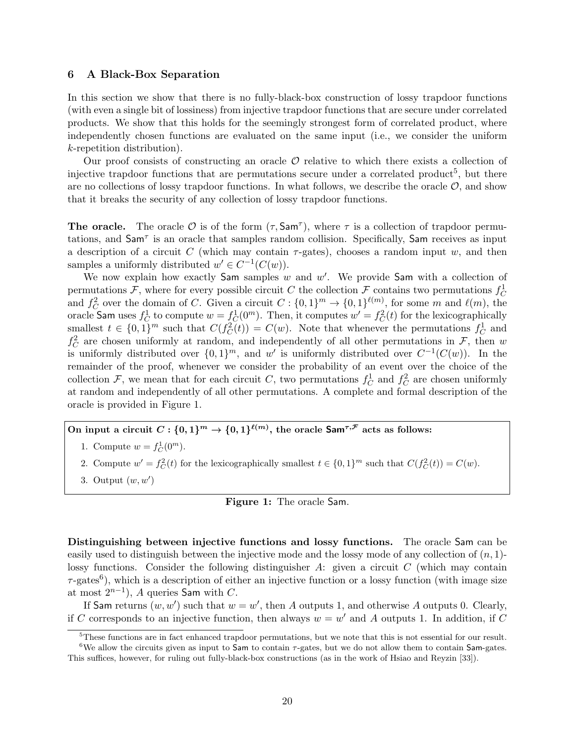# <span id="page-20-0"></span>**6 A Black-Box Separation**

In this section we show that there is no fully-black-box construction of lossy trapdoor functions (with even a single bit of lossiness) from injective trapdoor functions that are secure under correlated products. We show that this holds for the seemingly strongest form of correlated product, where independently chosen functions are evaluated on the same input (i.e., we consider the uniform *k*-repetition distribution).

Our proof consists of constructing an oracle *O* relative to which there exists a collection of injective trapdoor functions that are permutations secure under a correlated product<sup>[5](#page-20-1)</sup>, but there are no collections of lossy trapdoor functions. In what follows, we describe the oracle  $\mathcal{O}$ , and show that it breaks the security of any collection of lossy trapdoor functions.

**The oracle.** The oracle  $\mathcal{O}$  is of the form  $(\tau, \mathsf{Sam}^{\tau})$ , where  $\tau$  is a collection of trapdoor permutations, and Sam<sup>*T*</sup> is an oracle that samples random collision. Specifically, Sam receives as input a description of a circuit *C* (which may contain *τ* -gates), chooses a random input *w*, and then samples a uniformly distributed  $w' \in C^{-1}(C(w))$ .

We now explain how exactly Sam samples *w* and *w ′* . We provide Sam with a collection of permutations  $\mathcal{F}$ , where for every possible circuit *C* the collection  $\mathcal{F}$  contains two permutations  $f_C^1$ *C* and  $f_C^2$  over the domain of *C*. Given a circuit  $C: \{0,1\}^m \to \{0,1\}^{\ell(m)}$ , for some *m* and  $\ell(m)$ , the oracle Sam uses  $f_C^1$  to compute  $w = f_C^1(0^m)$ . Then, it computes  $w' = f_C^2(t)$  for the lexicographically smallest  $t \in \{0, 1\}^m$  such that  $C(f_C^2(t)) = C(w)$ . Note that whenever the permutations  $f_C^1$  and  $f_C^2$  are chosen uniformly at random, and independently of all other permutations in  $\mathcal{F}$ , then *w* is uniformly distributed over  $\{0,1\}^m$ , and w' is uniformly distributed over  $C^{-1}(C(w))$ . In the remainder of the proof, whenever we consider the probability of an event over the choice of the collection  $\mathcal{F}$ , we mean that for each circuit *C*, two permutations  $f_C^1$  and  $f_C^2$  are chosen uniformly at random and independently of all other permutations. A complete and formal description of the oracle is provided in Figure 1.

On input a circuit  $C: \{0,1\}^m \rightarrow \{0,1\}^{\ell(m)},$  the oracle  $\mathsf{Sam}^{\tau,\mathcal{F}}$  acts as follows:

- 1. Compute  $w = f_C^1(0^m)$ .
- 2. Compute  $w' = f_C^2(t)$  for the lexicographically smallest  $t \in \{0,1\}^m$  such that  $C(f_C^2(t)) = C(w)$ .
- 3. Output (*w, w′* )

**Figure 1:** The oracle Sam.

**Distinguishing between injective functions and lossy functions.** The oracle Sam can be easily used to distinguish between the injective mode and the lossy mode of any collection of (*n,* 1) lossy functions. Consider the following distinguisher *A*: given a circuit *C* (which may contain  $\tau$ -gates<sup>[6](#page-20-2)</sup>), which is a description of either an injective function or a lossy function (with image size at most  $2^{n-1}$ ), *A* queries Sam with *C*.

If Sam returns  $(w, w')$  such that  $w = w'$ , then *A* outputs 1, and otherwise *A* outputs 0. Clearly, if *C* corresponds to an injective function, then always  $w = w'$  and *A* outputs 1. In addition, if *C* 

<span id="page-20-2"></span><span id="page-20-1"></span><sup>5</sup>These functions are in fact enhanced trapdoor permutations, but we note that this is not essential for our result.

<sup>6</sup>We allow the circuits given as input to Sam to contain *τ* -gates, but we do not allow them to contain Sam-gates. This suffices, however, for ruling out fully-black-box constructions (as in the work of Hsiao and Reyzin [\[33](#page-30-14)]).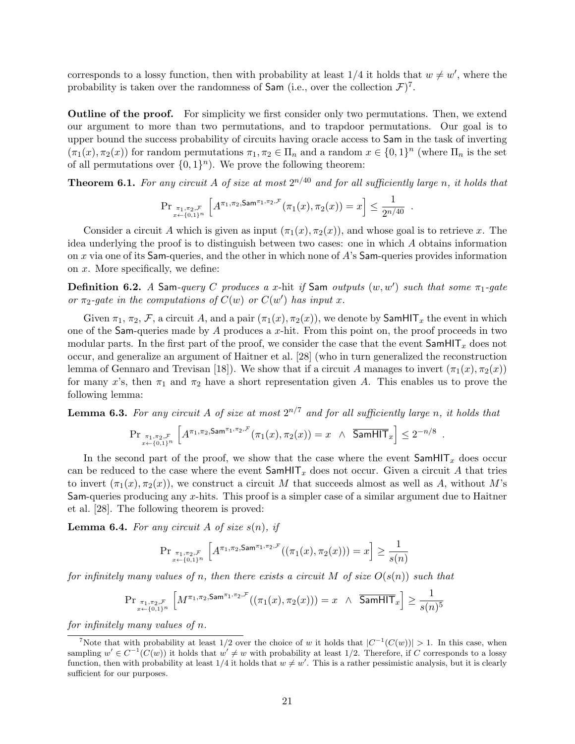corresponds to a lossy function, then with probability at least  $1/4$  it holds that  $w \neq w'$ , where the probability is taken over the randomness of Sam (i.e., over the collection  $\mathcal{F})^7$  $\mathcal{F})^7$ .

**Outline of the proof.** For simplicity we first consider only two permutations. Then, we extend our argument to more than two permutations, and to trapdoor permutations. Our goal is to upper bound the success probability of circuits having oracle access to Sam in the task of inverting  $(\pi_1(x), \pi_2(x))$  for random permutations  $\pi_1, \pi_2 \in \Pi_n$  and a random  $x \in \{0, 1\}^n$  (where  $\Pi_n$  is the set of all permutations over  $\{0,1\}^n$ ). We prove the following theorem:

<span id="page-21-1"></span>**Theorem 6.1.** *For any circuit A of size at most* 2 *n/*<sup>40</sup> *and for all sufficiently large n, it holds that*

$$
\Pr_{\pi_1, \pi_2, \mathcal{F} \atop x \leftarrow \{0,1\}^n} \left[ A^{\pi_1, \pi_2, \mathsf{Sam}^{\pi_1, \pi_2, \mathcal{F}}}(\pi_1(x), \pi_2(x)) = x \right] \le \frac{1}{2^{n/40}}.
$$

Consider a circuit A which is given as input  $(\pi_1(x), \pi_2(x))$ , and whose goal is to retrieve x. The idea underlying the proof is to distinguish between two cases: one in which *A* obtains information on *x* via one of its Sam-queries, and the other in which none of *A*'s Sam-queries provides information on *x*. More specifically, we define:

<span id="page-21-4"></span>**Definition 6.2.** *A* Sam*-query C produces a x*-hit *if* Sam *outputs* (*w, w′* ) *such that some π*1*-gate or*  $\pi_2$ -gate in the computations of  $C(w)$  or  $C(w')$  has input *x*.

Given  $\pi_1$ ,  $\pi_2$ , F, a circuit A, and a pair  $(\pi_1(x), \pi_2(x))$ , we denote by SamHIT<sub>x</sub> the event in which one of the Sam-queries made by *A* produces a *x*-hit. From this point on, the proof proceeds in two modular parts. In the first part of the proof, we consider the case that the event  $\mathsf{SamHIT}_x$  does not occur, and generalize an argument of Haitner et al. [\[28](#page-30-5)] (who in turn generalized the reconstruction lemma of Gennaro and Trevisan [\[18](#page-29-8)]). We show that if a circuit *A* manages to invert  $(\pi_1(x), \pi_2(x))$ for many *x*'s, then  $\pi_1$  and  $\pi_2$  have a short representation given *A*. This enables us to prove the following lemma:

<span id="page-21-2"></span>**Lemma 6.3.** *For any circuit A of size at most* 2 *n/*<sup>7</sup> *and for all sufficiently large n, it holds that*

$$
\Pr_{\pi_1, \pi_2, \mathcal{F} \atop x \leftarrow \{0,1\}^n} \left[ A^{\pi_1, \pi_2, \mathsf{Sam}^{\pi_1, \pi_2, \mathcal{F}}}(\pi_1(x), \pi_2(x)) = x \quad \wedge \quad \overline{\mathsf{SamHIT}}_x \right] \leq 2^{-n/8} \quad .
$$

In the second part of the proof, we show that the case where the event  $\mathsf{SamHIT}_x$  does occur can be reduced to the case where the event  $\mathsf{SamHIT}_x$  does not occur. Given a circuit A that tries to invert  $(\pi_1(x), \pi_2(x))$ , we construct a circuit M that succeeds almost as well as A, without M's Sam-queries producing any *x*-hits. This proof is a simpler case of a similar argument due to Haitner et al. [[28\]](#page-30-5). The following theorem is proved:

<span id="page-21-3"></span>**Lemma 6.4.** For any circuit A of size  $s(n)$ , if

$$
\Pr_{\pi_1, \pi_2, \mathcal{F} \atop x \leftarrow \{0,1\}^n} \left[ A^{\pi_1, \pi_2, \mathsf{Sam}^{\pi_1, \pi_2, \mathcal{F}}}( (\pi_1(x), \pi_2(x))) = x \right] \ge \frac{1}{s(n)}
$$

*for infinitely many values of n, then there exists a circuit M of size O*(*s*(*n*)) *such that*

$$
\mathrm{Pr}_{\pi_1,\pi_2,\mathcal{F}\atop x\leftarrow \{0,1\}^n}\left[M^{\pi_1,\pi_2,\mathsf{Sam}^{\pi_1,\pi_2,\mathcal{F}}}( (\pi_1(x),\pi_2(x)))=x\;\;\wedge\;\;\overline{\mathsf{SamHIT}}_x\right]\geq \frac{1}{s(n)^5}
$$

*for infinitely many values of n.*

<span id="page-21-0"></span><sup>&</sup>lt;sup>7</sup>Note that with probability at least  $1/2$  over the choice of *w* it holds that  $|C^{-1}(C(w))| > 1$ . In this case, when sampling  $w' \in C^{-1}(C(w))$  it holds that  $w' \neq w$  with probability at least 1/2. Therefore, if *C* corresponds to a lossy function, then with probability at least  $1/4$  it holds that  $w \neq w'$ . This is a rather pessimistic analysis, but it is clearly sufficient for our purposes.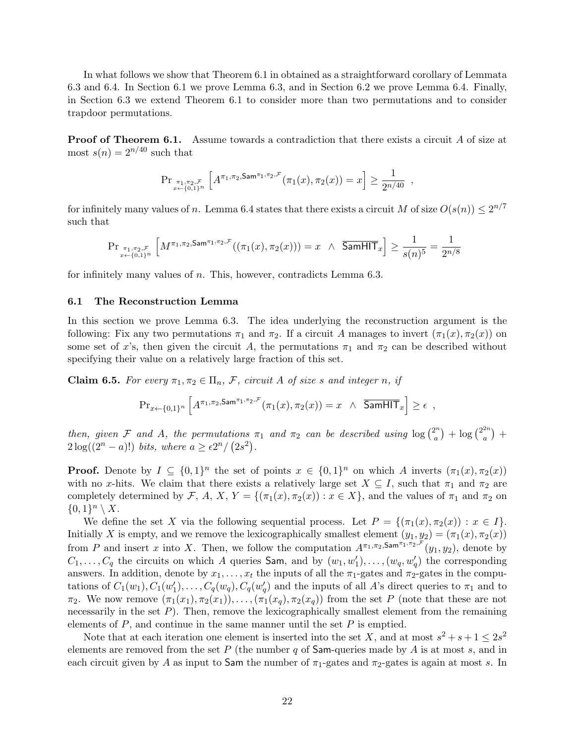In what follows we show that Theorem [6.1](#page-21-1) in obtained as a straightforward corollary of Lemmata [6.3](#page-21-2) and [6.4.](#page-21-3) In Section [6.1](#page-22-0) we prove Lemma [6.3](#page-21-2), and in Section [6.2](#page-24-0) we prove Lemma [6.4](#page-21-3). Finally, in Section [6.3](#page-27-0) we extend Theorem [6.1](#page-21-1) to consider more than two permutations and to consider trapdoor permutations.

**Proof of Theorem [6.1](#page-21-1).** Assume towards a contradiction that there exists a circuit *A* of size at most  $s(n) = 2^{n/40}$  such that

$$
\Pr_{\pi_1, \pi_2, \mathcal{F} \atop x \leftarrow \{0,1\}^n} \left[ A^{\pi_1, \pi_2, \mathsf{Sam}^{\pi_1, \pi_2, \mathcal{F}}}(\pi_1(x), \pi_2(x)) = x \right] \ge \frac{1}{2^{n/40}} ,
$$

for infinitely many values of *n*. Lemma [6.4](#page-21-3) states that there exists a circuit *M* of size  $O(s(n)) \leq 2^{n/7}$ such that

$$
\mathrm{Pr}_{\pi_1,\pi_2,\mathcal{F} \atop x \leftarrow \{0,1\}^n} \left[ M^{\pi_1,\pi_2,\mathsf{Sam}^{\pi_1,\pi_2,\mathcal{F}}}( (\pi_1(x),\pi_2(x))) = x \ \wedge \ \overline{\mathsf{SamHIT}}_{x} \right] \geq \frac{1}{s(n)^5} = \frac{1}{2^{n/8}}
$$

for infinitely many values of *n*. This, however, contradicts Lemma [6.3](#page-21-2).

#### <span id="page-22-0"></span>**6.1 The Reconstruction Lemma**

In this section we prove Lemma [6.3](#page-21-2). The idea underlying the reconstruction argument is the following: Fix any two permutations  $\pi_1$  and  $\pi_2$ . If a circuit *A* manages to invert  $(\pi_1(x), \pi_2(x))$  on some set of x's, then given the circuit A, the permutations  $\pi_1$  and  $\pi_2$  can be described without specifying their value on a relatively large fraction of this set.

<span id="page-22-1"></span>**Claim 6.5.** For every  $\pi_1, \pi_2 \in \Pi_n$ , F, circuit A of size *s* and integer *n*, if

$$
\mathrm{Pr}_{x \leftarrow \{0,1\}^n} \left[ A^{\pi_1, \pi_2, \mathsf{Sam}^{\pi_1, \pi_2, \mathcal{F}}}(\pi_1(x), \pi_2(x)) = x \quad \wedge \quad \overline{\mathsf{SamHIT}}_x \right] \ge \epsilon \enspace ,
$$

*then, given F* and *A, the permutations*  $\pi_1$  *and*  $\pi_2$  *can be described using*  $\log \binom{2^n}{a}$  $\binom{2^{n}}{a}$  + log  $\binom{2^{2n}}{a}$  $\binom{2n}{a}$  +  $2\log((2^n - a)!)$  *bits, where*  $a \geq \frac{\varepsilon 2^n}{2s^2}$ .

**Proof.** Denote by  $I \subseteq \{0,1\}^n$  the set of points  $x \in \{0,1\}^n$  on which *A* inverts  $(\pi_1(x), \pi_2(x))$ with no *x*-hits. We claim that there exists a relatively large set  $X \subseteq I$ , such that  $\pi_1$  and  $\pi_2$  are completely determined by *F*, *A*, *X*, *Y* = {( $\pi_1(x), \pi_2(x)$ ) :  $x \in X$ }, and the values of  $\pi_1$  and  $\pi_2$  on  $\{0,1\}^n \setminus X$ .

We define the set *X* via the following sequential process. Let  $P = \{(\pi_1(x), \pi_2(x)) : x \in I\}$ . Initially *X* is empty, and we remove the lexicographically smallest element  $(y_1, y_2) = (\pi_1(x), \pi_2(x))$ from *P* and insert *x* into *X*. Then, we follow the computation  $A^{\pi_1,\pi_2,\text{Sam}^{\pi_1,\pi_2,\mathcal{F}}}(y_1, y_2)$ , denote by  $C_1, \ldots, C_q$  the circuits on which *A* queries Sam, and by  $(w_1, w'_1), \ldots, (w_q, w'_q)$  the corresponding answers. In addition, denote by  $x_1, \ldots, x_t$  the inputs of all the  $\pi_1$ -gates and  $\pi_2$ -gates in the computations of  $C_1(w_1), C_1(w'_1), \ldots, C_q(w_q), C_q(w'_q)$  and the inputs of all *A*'s direct queries to  $\pi_1$  and to  $\pi_2$ . We now remove  $(\pi_1(x_1), \pi_2(x_1)), \ldots, (\pi_1(x_q), \pi_2(x_q))$  from the set *P* (note that these are not necessarily in the set  $P$ ). Then, remove the lexicographically smallest element from the remaining elements of *P*, and continue in the same manner until the set *P* is emptied.

Note that at each iteration one element is inserted into the set *X*, and at most  $s^2 + s + 1 \leq 2s^2$ elements are removed from the set *P* (the number *q* of Sam-queries made by *A* is at most *s*, and in each circuit given by *A* as input to Sam the number of  $\pi_1$ -gates and  $\pi_2$ -gates is again at most *s*. In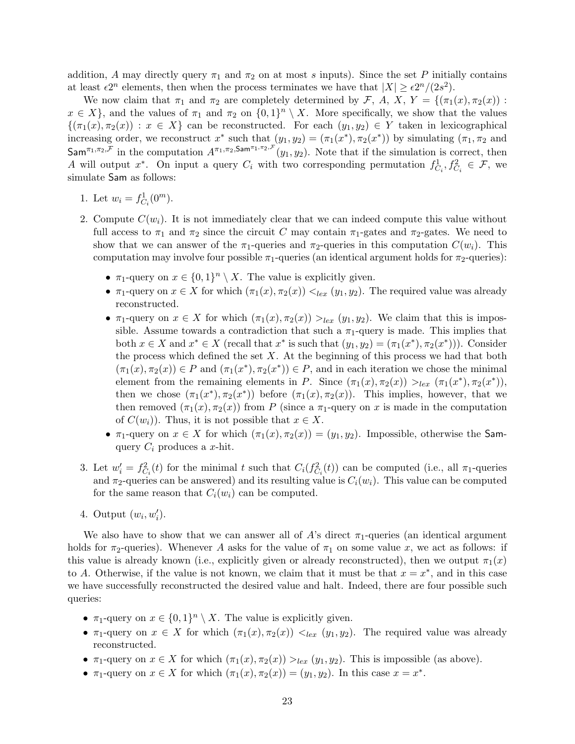addition, *A* may directly query  $\pi_1$  and  $\pi_2$  on at most *s* inputs). Since the set *P* initially contains at least  $\epsilon 2^n$  elements, then when the process terminates we have that  $|X| \geq \epsilon 2^n/(2s^2)$ .

We now claim that  $\pi_1$  and  $\pi_2$  are completely determined by *F*, *A*, *X*, *Y* = {( $\pi_1(x), \pi_2(x)$ ) :  $x \in X$ , and the values of  $\pi_1$  and  $\pi_2$  on  $\{0,1\}^n \setminus X$ . More specifically, we show that the values  $\{(\pi_1(x), \pi_2(x)) : x \in X\}$  can be reconstructed. For each  $(y_1, y_2) \in Y$  taken in lexicographical increasing order, we reconstruct  $x^*$  such that  $(y_1, y_2) = (\pi_1(x^*), \pi_2(x^*))$  by simulating  $(\pi_1, \pi_2$  and  $\textsf{Sam}^{\pi_1,\pi_2,\mathcal{F}}$  in the computation  $A^{\pi_1,\pi_2,\textsf{Sam}^{\pi_1,\pi_2,\mathcal{F}}}(y_1,y_2)$ . Note that if the simulation is correct, then *A* will output  $x^*$ . On input a query  $C_i$  with two corresponding permutation  $f_{C_i}^1, f_{C_i}^2 \in \mathcal{F}$ , we simulate Sam as follows:

- 1. Let  $w_i = f_{C_i}^1(0^m)$ .
- 2. Compute  $C(w_i)$ . It is not immediately clear that we can indeed compute this value without full access to  $\pi_1$  and  $\pi_2$  since the circuit *C* may contain  $\pi_1$ -gates and  $\pi_2$ -gates. We need to show that we can answer of the  $\pi_1$ -queries and  $\pi_2$ -queries in this computation  $C(w_i)$ . This computation may involve four possible  $\pi_1$ -queries (an identical argument holds for  $\pi_2$ -queries):
	- $\pi_1$ -query on  $x \in \{0,1\}^n \setminus X$ . The value is explicitly given.
	- $\pi_1$ -query on  $x \in X$  for which  $(\pi_1(x), \pi_2(x)) <_{lex} (y_1, y_2)$ . The required value was already reconstructed.
	- $\pi_1$ -query on  $x \in X$  for which  $(\pi_1(x), \pi_2(x)) >_{lex} (y_1, y_2)$ . We claim that this is impossible. Assume towards a contradiction that such a  $\pi_1$ -query is made. This implies that both  $x \in X$  and  $x^* \in X$  (recall that  $x^*$  is such that  $(y_1, y_2) = (\pi_1(x^*), \pi_2(x^*))$ ). Consider the process which defined the set *X*. At the beginning of this process we had that both  $(\pi_1(x), \pi_2(x)) \in P$  and  $(\pi_1(x^*), \pi_2(x^*)) \in P$ , and in each iteration we chose the minimal element from the remaining elements in *P*. Since  $(\pi_1(x), \pi_2(x)) >_{lex} (\pi_1(x^*), \pi_2(x^*))$ , then we chose  $(\pi_1(x^*), \pi_2(x^*))$  before  $(\pi_1(x), \pi_2(x))$ . This implies, however, that we then removed  $(\pi_1(x), \pi_2(x))$  from *P* (since a  $\pi_1$ -query on *x* is made in the computation of  $C(w_i)$ ). Thus, it is not possible that  $x \in X$ .
	- $\pi_1$ -query on  $x \in X$  for which  $(\pi_1(x), \pi_2(x)) = (y_1, y_2)$ . Impossible, otherwise the Samquery *C<sup>i</sup>* produces a *x*-hit.
- 3. Let  $w'_i = f_{C_i}^2(t)$  for the minimal *t* such that  $C_i(f_{C_i}^2(t))$  can be computed (i.e., all  $\pi_1$ -queries and  $\pi_2$ -queries can be answered) and its resulting value is  $C_i(w_i)$ . This value can be computed for the same reason that  $C_i(w_i)$  can be computed.
- 4. Output  $(w_i, w'_i)$ .

We also have to show that we can answer all of  $A$ 's direct  $\pi_1$ -queries (an identical argument holds for  $\pi_2$ -queries). Whenever *A* asks for the value of  $\pi_1$  on some value *x*, we act as follows: if this value is already known (i.e., explicitly given or already reconstructed), then we output  $\pi_1(x)$ to *A*. Otherwise, if the value is not known, we claim that it must be that  $x = x^*$ , and in this case we have successfully reconstructed the desired value and halt. Indeed, there are four possible such queries:

- $\pi_1$ -query on  $x \in \{0,1\}^n \setminus X$ . The value is explicitly given.
- $\pi_1$ -query on  $x \in X$  for which  $(\pi_1(x), \pi_2(x)) <_{lex} (y_1, y_2)$ . The required value was already reconstructed.
- $\pi_1$ -query on  $x \in X$  for which  $(\pi_1(x), \pi_2(x)) >_{lex} (y_1, y_2)$ . This is impossible (as above).
- *π*<sub>1</sub>-query on  $x \in X$  for which  $(\pi_1(x), \pi_2(x)) = (y_1, y_2)$ . In this case  $x = x^*$ .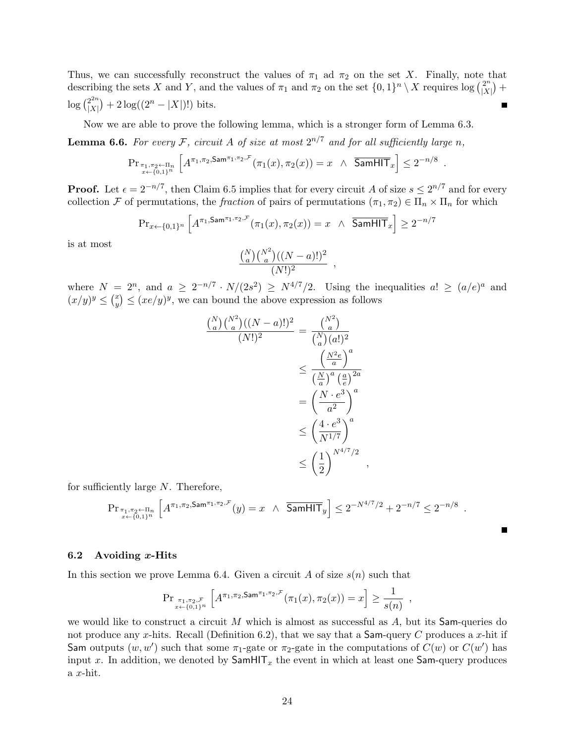Thus, we can successfully reconstruct the values of  $\pi_1$  ad  $\pi_2$  on the set *X*. Finally, note that describing the sets *X* and *Y*, and the values of  $\pi_1$  and  $\pi_2$  on the set  $\{0,1\}^n \setminus X$  requires log  $\binom{2^n}{|X|}$  $\binom{2^n}{|X|} +$  $\log\binom{2^{2n}}{\mid X\mid}$  $\binom{2^{2n}}{|X|} + 2 \log((2^n - |X|)!)$  bits.

Now we are able to prove the following lemma, which is a stronger form of Lemma [6.3.](#page-21-2)

<span id="page-24-1"></span>**Lemma 6.6.** For every F, circuit A of size at most  $2^{n/7}$  and for all sufficiently large n,

$$
\mathrm{Pr}_{\substack{\pi_1,\pi_2\leftarrow \Pi_n\\x\leftarrow \{0,1\}^n}}\left[A^{\pi_1,\pi_2,\mathsf{Sam}^{\pi_1,\pi_2,\mathcal{F}}}(\pi_1(x),\pi_2(x))=x\;\;\wedge\;\;\overline{\mathsf{SamHIT}}_x\right]\leq 2^{-n/8}
$$

*.*

**Proof.** Let  $\epsilon = 2^{-n/7}$ , then Claim [6.5](#page-22-1) implies that for every circuit *A* of size  $s \leq 2^{n/7}$  and for every collection *F* of permutations, the *fraction* of pairs of permutations  $(\pi_1, \pi_2) \in \Pi_n \times \Pi_n$  for which

$$
\mathrm{Pr}_{x \leftarrow \{0,1\}^n} \left[ A^{\pi_1, \mathsf{Sam}^{\pi_1, \pi_2, \mathcal{F}}}(\pi_1(x), \pi_2(x)) = x \quad \wedge \quad \overline{\mathsf{SamHIT}}_x \right] \ge 2^{-n/7}
$$

is at most

$$
\frac{\binom{N}{a}\binom{N^2}{a}((N-a)!)^2}{(N!)^2} ,
$$

where  $N = 2^n$ , and  $a \geq 2^{-n/7} \cdot N/(2s^2) \geq N^{4/7}/2$ . Using the inequalities  $a! \geq (a/e)^a$  and  $(x/y)^y \leq {x \choose y}$  $(y^x)_y$   $\leq$   $(xe/y)^y$ , we can bound the above expression as follows

$$
\frac{\binom{N}{a}\binom{N^2}{a}\left((N-a)!\right)^2}{(N!)^2} = \frac{\binom{N^2}{a}}{\binom{N}{a}\binom{a!}{2}^2}
$$

$$
\leq \frac{\left(\frac{N^2e}{a}\right)^a}{\left(\frac{N}{a}\right)^a \left(\frac{a}{e}\right)^{2a}}
$$

$$
= \left(\frac{N \cdot e^3}{a^2}\right)^a
$$

$$
\leq \left(\frac{4 \cdot e^3}{N^{1/7}}\right)^a
$$

$$
\leq \left(\frac{1}{2}\right)^{N^{4/7}/2}
$$

for sufficiently large *N*. Therefore,

$$
\mathrm{Pr}_{\pi_1,\pi_2 \leftarrow \Pi_n \atop x \leftarrow \{0,1\}^n} \left[ A^{\pi_1,\pi_2,\mathsf{Sam}^{\pi_1,\pi_2,\mathcal{F}}}(y) = x \ \wedge \ \overline{\mathsf{SamHIT}}_y \right] \leq 2^{-N^{4/7}/2} + 2^{-n/7} \leq 2^{-n/8} \ \ .
$$

*,*

#### <span id="page-24-0"></span>**6.2 Avoiding** *x***-Hits**

In this section we prove Lemma [6.4.](#page-21-3) Given a circuit *A* of size *s*(*n*) such that

$$
\Pr_{\substack{\pi_1,\pi_2,\mathcal{F} \\ x \leftarrow \{0,1\}^n}} \left[ A^{\pi_1,\pi_2,\mathsf{Sam}^{\pi_1,\pi_2,\mathcal{F}}}(\pi_1(x),\pi_2(x)) = x \right] \ge \frac{1}{s(n)} ,
$$

we would like to construct a circuit *M* which is almost as successful as *A*, but its Sam-queries do not produce any *x*-hits. Recall (Definition [6.2](#page-21-4)), that we say that a Sam-query *C* produces a *x*-hit if Sam outputs  $(w, w')$  such that some  $\pi_1$ -gate or  $\pi_2$ -gate in the computations of  $C(w)$  or  $C(w')$  has input *x*. In addition, we denoted by  $\textsf{SamHIT}_x$  the event in which at least one  $\textsf{Sam-query}$  produces a *x*-hit.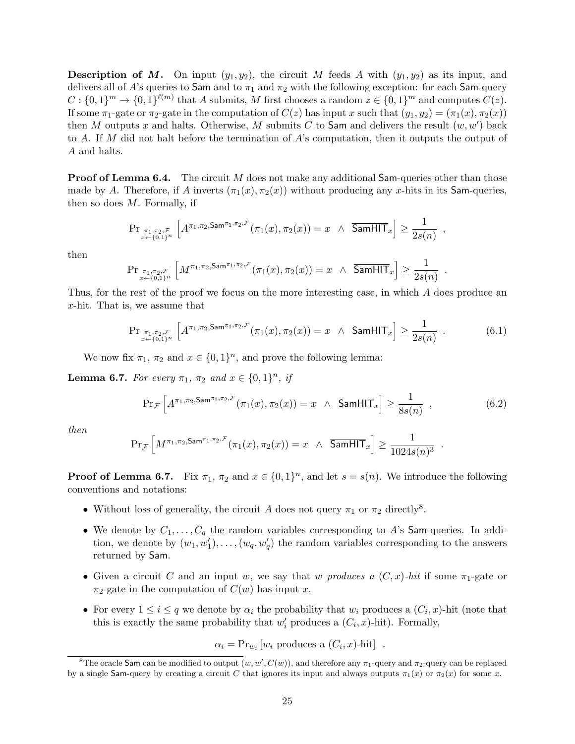**Description of** *M*. On input  $(y_1, y_2)$ , the circuit *M* feeds *A* with  $(y_1, y_2)$  as its input, and delivers all of *A*'s queries to Sam and to  $\pi_1$  and  $\pi_2$  with the following exception: for each Sam-query  $C: \{0,1\}^m \to \{0,1\}^{\ell(m)}$  that A submits, M first chooses a random  $z \in \{0,1\}^m$  and computes  $C(z)$ . If some  $\pi_1$ -gate or  $\pi_2$ -gate in the computation of  $C(z)$  has input *x* such that  $(y_1, y_2) = (\pi_1(x), \pi_2(x))$ then *M* outputs *x* and halts. Otherwise, *M* submits *C* to Sam and delivers the result  $(w, w')$  back to *A*. If *M* did not halt before the termination of *A*'s computation, then it outputs the output of *A* and halts.

**Proof of Lemma [6.4.](#page-21-3)** The circuit M does not make any additional Sam-queries other than those made by *A*. Therefore, if *A* inverts  $(\pi_1(x), \pi_2(x))$  without producing any *x*-hits in its Sam-queries, then so does *M*. Formally, if

$$
\Pr_{\pi_1, \pi_2, \mathcal{F} \atop x \leftarrow \{0,1\}^n} \left[ A^{\pi_1, \pi_2, \mathsf{Sam}^{\pi_1, \pi_2, \mathcal{F}}}(\pi_1(x), \pi_2(x)) = x \quad \wedge \quad \overline{\mathsf{SamHIT}}_x \right] \ge \frac{1}{2s(n)} \enspace ,
$$

then

$$
\Pr_{\pi_1, \pi_2, \mathcal{F} \atop x \leftarrow \{0,1\}^n} \left[ M^{\pi_1, \pi_2, \mathsf{Sam}^{\pi_1, \pi_2, \mathcal{F}}}(\pi_1(x), \pi_2(x)) = x \quad \wedge \quad \overline{\mathsf{SamHIT}}_x \right] \ge \frac{1}{2s(n)} \; .
$$

Thus, for the rest of the proof we focus on the more interesting case, in which *A* does produce an *x*-hit. That is, we assume that

$$
\Pr_{\pi_1, \pi_2, \mathcal{F} \atop x \leftarrow \{0,1\}^n} \left[ A^{\pi_1, \pi_2, \mathsf{Sam}^{\pi_1, \pi_2, \mathcal{F}}}(\pi_1(x), \pi_2(x)) = x \quad \land \quad \mathsf{SamHIT}_x \right] \ge \frac{1}{2s(n)} \quad . \tag{6.1}
$$

We now fix  $\pi_1$ ,  $\pi_2$  and  $x \in \{0,1\}^n$ , and prove the following lemma:

<span id="page-25-0"></span>**Lemma 6.7.** *For every*  $\pi_1$ ,  $\pi_2$  *and*  $x \in \{0, 1\}^n$ , *if* 

<span id="page-25-2"></span>
$$
\Pr_{\mathcal{F}}\left[A^{\pi_1,\pi_2,\text{Sam}^{\pi_1,\pi_2,\mathcal{F}}}(\pi_1(x),\pi_2(x)) = x \quad \wedge \quad \text{SamHIT}_x\right] \ge \frac{1}{8s(n)} \quad , \tag{6.2}
$$

*.*

*then*

$$
\Pr_{\mathcal{F}}\left[M^{\pi_1, \pi_2, \mathsf{Sam}^{\pi_1, \pi_2, \mathcal{F}}}(\pi_1(x), \pi_2(x)) = x \quad \wedge \quad \overline{\mathsf{SamHIT}}_x\right] \ge \frac{1}{1024s(n)^3}
$$

**Proof of Lemma [6.7](#page-25-0).** Fix  $\pi_1$ ,  $\pi_2$  and  $x \in \{0,1\}^n$ , and let  $s = s(n)$ . We introduce the following conventions and notations:

- Without loss of generality, the circuit *A* does not query  $\pi_1$  or  $\pi_2$  directly<sup>[8](#page-25-1)</sup>.
- We denote by  $C_1, \ldots, C_q$  the random variables corresponding to *A*'s Sam-queries. In addition, we denote by  $(w_1, w'_1), \ldots, (w_q, w'_q)$  the random variables corresponding to the answers returned by Sam.
- Given a circuit *C* and an input *w*, we say that *w produces* a  $(C, x)$ -hit if some  $\pi_1$ -gate or  $\pi_2$ -gate in the computation of  $C(w)$  has input *x*.
- For every  $1 \leq i \leq q$  we denote by  $\alpha_i$  the probability that  $w_i$  produces a  $(C_i, x)$ -hit (note that this is exactly the same probability that  $w'_{i}$  produces a  $(C_{i}, x)$ -hit). Formally,

 $\alpha_i = \Pr_{w_i} [w_i \text{ produces a } (C_i, x) \text{-hit}]$ .

<span id="page-25-1"></span><sup>&</sup>lt;sup>8</sup>The oracle Sam can be modified to output  $(w, w', C(w))$ , and therefore any  $\pi_1$ -query and  $\pi_2$ -query can be replaced by a single Sam-query by creating a circuit *C* that ignores its input and always outputs  $\pi_1(x)$  or  $\pi_2(x)$  for some *x*.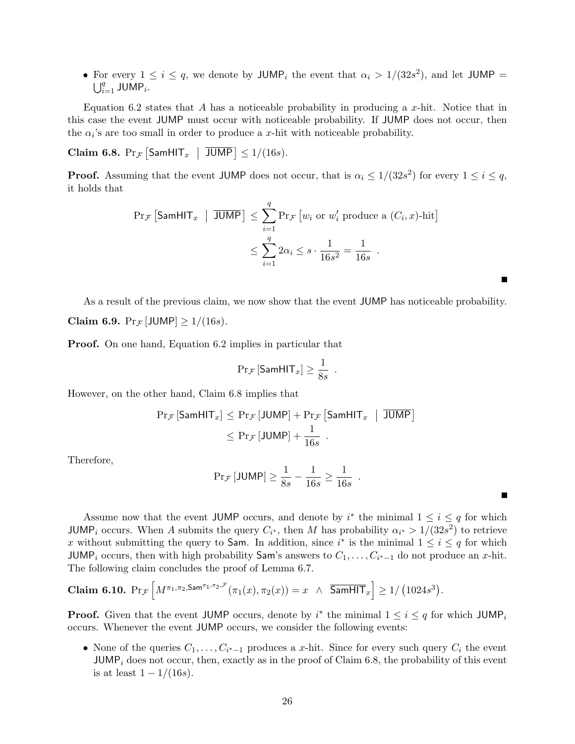• For every  $1 \leq i \leq q$ , we denote by JUMP<sub>i</sub> the event that  $\alpha_i > 1/(32s^2)$ , and let JUMP =  $\bigcup_{i=1}^q$  JUMP<sub>*i*</sub>.

Equation [6.2](#page-25-2) states that *A* has a noticeable probability in producing a *x*-hit. Notice that in this case the event JUMP must occur with noticeable probability. If JUMP does not occur, then the  $\alpha_i$ 's are too small in order to produce a *x*-hit with noticeable probability.

<span id="page-26-0"></span>**Claim 6.8.**  $Pr_{\mathcal{F}}$  [SamHIT<sub>*x*</sub> |  $\overline{JUMP}$ ]  $\leq 1/(16s)$ *.* 

**Proof.** Assuming that the event JUMP does not occur, that is  $\alpha_i \leq 1/(32s^2)$  for every  $1 \leq i \leq q$ , it holds that

$$
\Pr_{\mathcal{F}}\left[\mathsf{SamHIT}_x \mid \overline{\mathsf{JUMP}}\right] \le \sum_{i=1}^q \Pr_{\mathcal{F}}\left[w_i \text{ or } w_i' \text{ produce a } (C_i, x)\text{-hit}\right]
$$

$$
\le \sum_{i=1}^q 2\alpha_i \le s \cdot \frac{1}{16s^2} = \frac{1}{16s} .
$$

As a result of the previous claim, we now show that the event JUMP has noticeable probability. **Claim 6.9.**  $Pr_{\mathcal{F}}[JUMP] \ge 1/(16s)$ .

**Proof.** On one hand, Equation [6.2](#page-25-2) implies in particular that

$$
\Pr_{\mathcal{F}}\left[\mathsf{SamHIT}_x\right] \geq \frac{1}{8s} \enspace .
$$

However, on the other hand, Claim [6.8](#page-26-0) implies that

$$
Pr_{\mathcal{F}}[\mathsf{SamHIT}_x] \le Pr_{\mathcal{F}}[\mathsf{JUMP}] + Pr_{\mathcal{F}}[\mathsf{SamHIT}_x \mid \overline{\mathsf{JUMP}}]
$$

$$
\le Pr_{\mathcal{F}}[\mathsf{JUMP}] + \frac{1}{16s} .
$$

Therefore,

$$
\Pr_{\mathcal{F}}[\text{JUMP}] \ge \frac{1}{8s} - \frac{1}{16s} \ge \frac{1}{16s} .
$$

Г

Assume now that the event JUMP occurs, and denote by  $i^*$  the minimal  $1 \leq i \leq q$  for which JUMP<sub>*i*</sub> occurs. When *A* submits the query  $C_{i^*}$ , then *M* has probability  $\alpha_{i^*} > 1/(32s^2)$  to retrieve *x* without submitting the query to Sam. In addition, since *i*<sup>\*</sup> is the minimal  $1 \leq i \leq q$  for which JUMP<sub>i</sub> occurs, then with high probability Sam's answers to  $C_1, \ldots, C_{i^*-1}$  do not produce an *x*-hit. The following claim concludes the proof of Lemma [6.7](#page-25-0).

**Claim 6.10.** 
$$
\Pr_{\mathcal{F}} \left[ M^{\pi_1, \pi_2, \text{Sam}^{\pi_1, \pi_2, \mathcal{F}}}(\pi_1(x), \pi_2(x)) = x \land \overline{\text{SamHIT}}_x \right] \ge 1/(1024s^3).
$$

**Proof.** Given that the event JUMP occurs, denote by  $i^*$  the minimal  $1 \leq i \leq q$  for which JUMP<sub>i</sub> occurs. Whenever the event JUMP occurs, we consider the following events:

• None of the queries  $C_1, \ldots, C_{i^*-1}$  produces a *x*-hit. Since for every such query  $C_i$  the event JUMP*<sup>i</sup>* does not occur, then, exactly as in the proof of Claim [6.8,](#page-26-0) the probability of this event is at least  $1 - \frac{1}{16s}$ .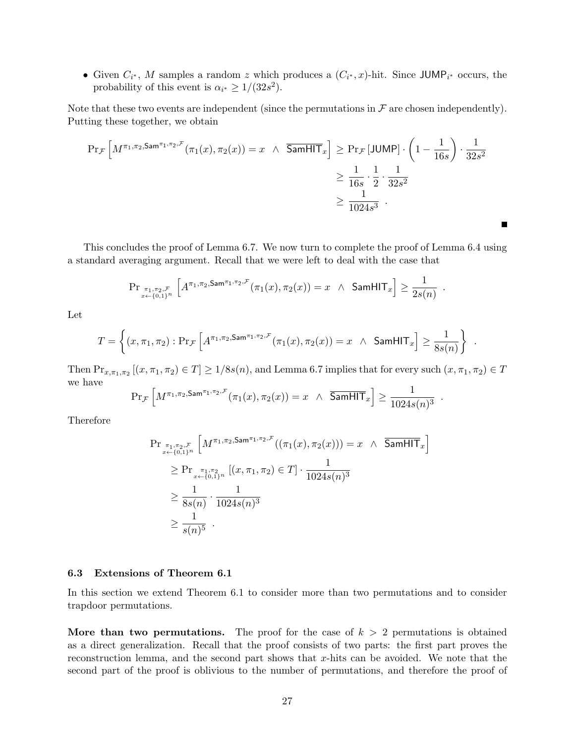• Given  $C_{i^*}$ , M samples a random *z* which produces a  $(C_{i^*}, x)$ -hit. Since JUMP<sub>i<sup>\*</sub></sup> occurs, the</sub> probability of this event is  $\alpha_{i^*} \geq 1/(32s^2)$ .

Note that these two events are independent (since the permutations in  $\mathcal F$  are chosen independently). Putting these together, we obtain

$$
\Pr_{\mathcal{F}}\left[M^{\pi_1,\pi_2,\text{Sam}^{\pi_1,\pi_2,\mathcal{F}}}(\pi_1(x),\pi_2(x)) = x \quad \land \quad \overline{\text{SamHIT}}_x\right] \ge \Pr_{\mathcal{F}}\left[\text{JUMP}\right] \cdot \left(1 - \frac{1}{16s}\right) \cdot \frac{1}{32s^2}
$$
\n
$$
\ge \frac{1}{16s} \cdot \frac{1}{2} \cdot \frac{1}{32s^2}
$$
\n
$$
\ge \frac{1}{1024s^3} \quad .
$$

This concludes the proof of Lemma [6.7](#page-25-0). We now turn to complete the proof of Lemma [6.4](#page-21-3) using a standard averaging argument. Recall that we were left to deal with the case that

$$
\Pr_{\pi_1,\pi_2,\mathcal{F}\atop x\leftarrow \{0,1\}^n}\left[A^{\pi_1,\pi_2,\mathsf{Sam}^{\pi_1,\pi_2,\mathcal{F}}}\big(\pi_1(x),\pi_2(x)\big)=x\;\;\wedge\;\;\mathsf{SamHIT}_x\right]\geq \frac{1}{2s(n)}
$$

*.*

*.*

*.*

Let

$$
T = \left\{ (x, \pi_1, \pi_2) : \Pr_{\mathcal{F}} \left[ A^{\pi_1, \pi_2, \mathsf{Sam}^{\pi_1, \pi_2, \mathcal{F}}}(\pi_1(x), \pi_2(x)) = x \quad \land \quad \mathsf{SamHIT}_x \right] \ge \frac{1}{8s(n)} \right\}
$$

Then  $\Pr_{x,\pi_1,\pi_2}$   $[(x,\pi_1,\pi_2) \in T] \geq 1/8s(n)$ , and Lemma [6.7](#page-25-0) implies that for every such  $(x,\pi_1,\pi_2) \in T$ we have

$$
\Pr_{\mathcal{F}}\left[M^{\pi_1,\pi_2,\mathsf{Sam}^{\pi_1,\pi_2,\mathcal{F}}}(\pi_1(x),\pi_2(x)) = x \quad \land \quad \overline{\mathsf{SamHIT}}_x\right] \ge \frac{1}{1024s(n)^3}
$$

Therefore

$$
\Pr_{\pi_1, \pi_2, \mathcal{F} \atop x \leftarrow \{0,1\}^n} \left[ M^{\pi_1, \pi_2, \mathsf{Sam}^{\pi_1, \pi_2, \mathcal{F}}}( (\pi_1(x), \pi_2(x))) = x \land \overline{\mathsf{SamHIT}}_x \right]
$$
\n
$$
\geq \Pr_{\pi_1, \pi_2, \dots, \pi_{\leftarrow \{0,1\}^n}} \left[ (x, \pi_1, \pi_2) \in T \right] \cdot \frac{1}{1024s(n)^3}
$$
\n
$$
\geq \frac{1}{8s(n)} \cdot \frac{1}{1024s(n)^3}
$$
\n
$$
\geq \frac{1}{s(n)^5} .
$$

# <span id="page-27-0"></span>**6.3 Extensions of Theorem [6.1](#page-21-1)**

In this section we extend Theorem [6.1](#page-21-1) to consider more than two permutations and to consider trapdoor permutations.

**More than two permutations.** The proof for the case of  $k > 2$  permutations is obtained as a direct generalization. Recall that the proof consists of two parts: the first part proves the reconstruction lemma, and the second part shows that *x*-hits can be avoided. We note that the second part of the proof is oblivious to the number of permutations, and therefore the proof of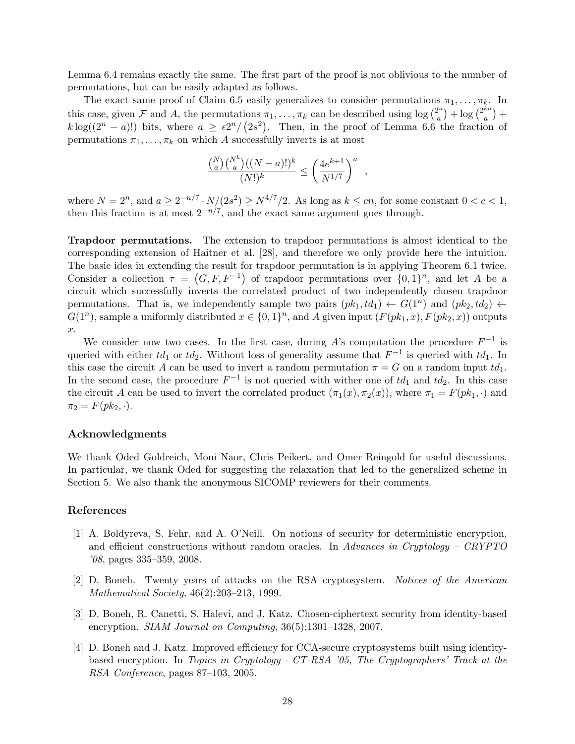Lemma [6.4](#page-21-3) remains exactly the same. The first part of the proof is not oblivious to the number of permutations, but can be easily adapted as follows.

The exact same proof of Claim [6.5](#page-22-1) easily generalizes to consider permutations  $\pi_1, \ldots, \pi_k$ . In this case, given *F* and *A*, the permutations  $\pi_1, \ldots, \pi_k$  can be described using  $\log {2^n \choose a}$  $\binom{2^{kn}}{a} + \log \binom{2^{kn}}{a}$  $\binom{kn}{a}$  +  $k \log((2^n - a)!)$  bits, where  $a \geq \frac{\varepsilon 2^n}{2s^2}$ . Then, in the proof of Lemma [6.6](#page-24-1) the fraction of permutations  $\pi_1, \ldots, \pi_k$  on which *A* successfully inverts is at most

$$
\frac{{N \choose a} {N \choose a} ((N-a)!)^k}{(N!)^k} \le \left(\frac{4e^{k+1}}{N^{1/7}}\right)^a \ ,
$$

where  $N = 2^n$ , and  $a \geq 2^{-n/7} \cdot N/(2s^2) \geq N^{4/7}/2$ . As long as  $k \leq cn$ , for some constant  $0 < c < 1$ , then this fraction is at most  $2^{-n/7}$ , and the exact same argument goes through.

**Trapdoor permutations.** The extension to trapdoor permutations is almost identical to the corresponding extension of Haitner et al. [\[28](#page-30-5)], and therefore we only provide here the intuition. The basic idea in extending the result for trapdoor permutation is in applying Theorem [6.1](#page-21-1) twice. Consider a collection  $\tau = (G, F, F^{-1})$  of trapdoor permutations over  $\{0, 1\}^n$ , and let *A* be a circuit which successfully inverts the correlated product of two independently chosen trapdoor permutations. That is, we independently sample two pairs  $(pk_1, td_1) \leftarrow G(1^n)$  and  $(pk_2, td_2) \leftarrow$ *G*(1<sup>n</sup>), sample a uniformly distributed  $x \in \{0,1\}^n$ , and *A* given input  $(F(pk_1, x), F(pk_2, x))$  outputs *x*.

We consider now two cases. In the first case, during *A*'s computation the procedure *F −*1 is queried with either  $td_1$  or  $td_2$ . Without loss of generality assume that  $F^{-1}$  is queried with  $td_1$ . In this case the circuit *A* can be used to invert a random permutation  $\pi = G$  on a random input  $td_1$ . In the second case, the procedure  $F^{-1}$  is not queried with wither one of  $td_1$  and  $td_2$ . In this case the circuit *A* can be used to invert the correlated product  $(\pi_1(x), \pi_2(x))$ , where  $\pi_1 = F(pk_1, \cdot)$  and  $\pi_2 = F(pk_2, \cdot).$ 

# **Acknowledgments**

We thank Oded Goldreich, Moni Naor, Chris Peikert, and Omer Reingold for useful discussions. In particular, we thank Oded for suggesting the relaxation that led to the generalized scheme in Section [5.](#page-16-0) We also thank the anonymous SICOMP reviewers for their comments.

#### **References**

- <span id="page-28-2"></span>[1] A. Boldyreva, S. Fehr, and A. O'Neill. On notions of security for deterministic encryption, and efficient constructions without random oracles. In *Advances in Cryptology – CRYPTO '08*, pages 335–359, 2008.
- <span id="page-28-3"></span>[2] D. Boneh. Twenty years of attacks on the RSA cryptosystem. *Notices of the American Mathematical Society*, 46(2):203–213, 1999.
- <span id="page-28-0"></span>[3] D. Boneh, R. Canetti, S. Halevi, and J. Katz. Chosen-ciphertext security from identity-based encryption. *SIAM Journal on Computing*, 36(5):1301–1328, 2007.
- <span id="page-28-1"></span>[4] D. Boneh and J. Katz. Improved efficiency for CCA-secure cryptosystems built using identitybased encryption. In *Topics in Cryptology - CT-RSA '05, The Cryptographers' Track at the RSA Conference*, pages 87–103, 2005.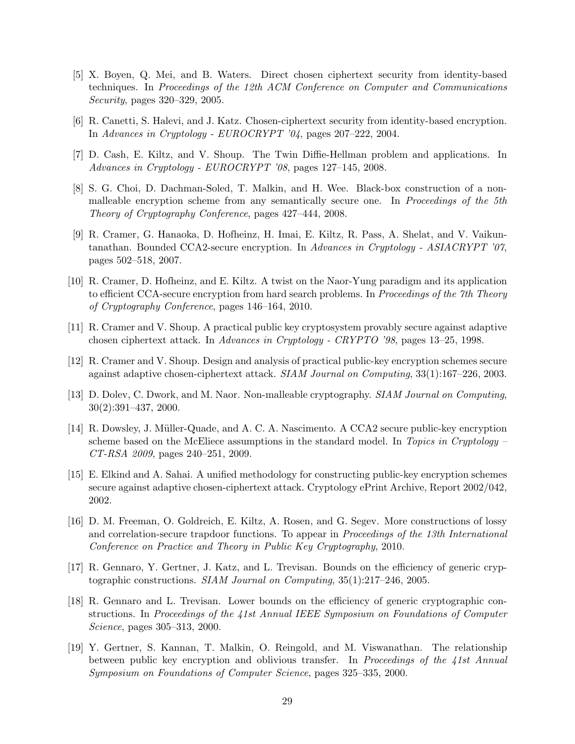- <span id="page-29-5"></span>[5] X. Boyen, Q. Mei, and B. Waters. Direct chosen ciphertext security from identity-based techniques. In *Proceedings of the 12th ACM Conference on Computer and Communications Security*, pages 320–329, 2005.
- <span id="page-29-4"></span>[6] R. Canetti, S. Halevi, and J. Katz. Chosen-ciphertext security from identity-based encryption. In *Advances in Cryptology - EUROCRYPT '04*, pages 207–222, 2004.
- <span id="page-29-6"></span>[7] D. Cash, E. Kiltz, and V. Shoup. The Twin Diffie-Hellman problem and applications. In *Advances in Cryptology - EUROCRYPT '08*, pages 127–145, 2008.
- <span id="page-29-10"></span>[8] S. G. Choi, D. Dachman-Soled, T. Malkin, and H. Wee. Black-box construction of a nonmalleable encryption scheme from any semantically secure one. In *Proceedings of the 5th Theory of Cryptography Conference*, pages 427–444, 2008.
- <span id="page-29-9"></span>[9] R. Cramer, G. Hanaoka, D. Hofheinz, H. Imai, E. Kiltz, R. Pass, A. Shelat, and V. Vaikuntanathan. Bounded CCA2-secure encryption. In *Advances in Cryptology - ASIACRYPT '07*, pages 502–518, 2007.
- <span id="page-29-7"></span>[10] R. Cramer, D. Hofheinz, and E. Kiltz. A twist on the Naor-Yung paradigm and its application to efficient CCA-secure encryption from hard search problems. In *Proceedings of the 7th Theory of Cryptography Conference*, pages 146–164, 2010.
- <span id="page-29-3"></span>[11] R. Cramer and V. Shoup. A practical public key cryptosystem provably secure against adaptive chosen ciphertext attack. In *Advances in Cryptology - CRYPTO '98*, pages 13–25, 1998.
- <span id="page-29-1"></span>[12] R. Cramer and V. Shoup. Design and analysis of practical public-key encryption schemes secure against adaptive chosen-ciphertext attack. *SIAM Journal on Computing*, 33(1):167–226, 2003.
- <span id="page-29-0"></span>[13] D. Dolev, C. Dwork, and M. Naor. Non-malleable cryptography. *SIAM Journal on Computing*, 30(2):391–437, 2000.
- <span id="page-29-13"></span>[14] R. Dowsley, J. Müller-Quade, and A. C. A. Nascimento. A CCA2 secure public-key encryption scheme based on the McEliece assumptions in the standard model. In *Topics in Cryptology – CT-RSA 2009*, pages 240–251, 2009.
- <span id="page-29-2"></span>[15] E. Elkind and A. Sahai. A unified methodology for constructing public-key encryption schemes secure against adaptive chosen-ciphertext attack. Cryptology ePrint Archive, Report 2002/042, 2002.
- <span id="page-29-14"></span>[16] D. M. Freeman, O. Goldreich, E. Kiltz, A. Rosen, and G. Segev. More constructions of lossy and correlation-secure trapdoor functions. To appear in *Proceedings of the 13th International Conference on Practice and Theory in Public Key Cryptography*, 2010.
- <span id="page-29-11"></span>[17] R. Gennaro, Y. Gertner, J. Katz, and L. Trevisan. Bounds on the efficiency of generic cryptographic constructions. *SIAM Journal on Computing*, 35(1):217–246, 2005.
- <span id="page-29-8"></span>[18] R. Gennaro and L. Trevisan. Lower bounds on the efficiency of generic cryptographic constructions. In *Proceedings of the 41st Annual IEEE Symposium on Foundations of Computer Science*, pages 305–313, 2000.
- <span id="page-29-12"></span>[19] Y. Gertner, S. Kannan, T. Malkin, O. Reingold, and M. Viswanathan. The relationship between public key encryption and oblivious transfer. In *Proceedings of the 41st Annual Symposium on Foundations of Computer Science*, pages 325–335, 2000.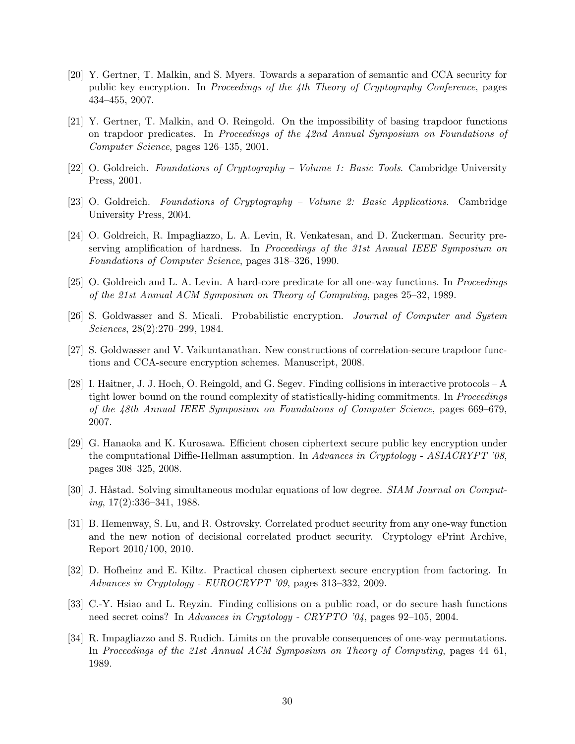- <span id="page-30-8"></span>[20] Y. Gertner, T. Malkin, and S. Myers. Towards a separation of semantic and CCA security for public key encryption. In *Proceedings of the 4th Theory of Cryptography Conference*, pages 434–455, 2007.
- <span id="page-30-7"></span>[21] Y. Gertner, T. Malkin, and O. Reingold. On the impossibility of basing trapdoor functions on trapdoor predicates. In *Proceedings of the 42nd Annual Symposium on Foundations of Computer Science*, pages 126–135, 2001.
- <span id="page-30-11"></span>[22] O. Goldreich. *Foundations of Cryptography – Volume 1: Basic Tools*. Cambridge University Press, 2001.
- <span id="page-30-12"></span>[23] O. Goldreich. *Foundations of Cryptography – Volume 2: Basic Applications*. Cambridge University Press, 2004.
- <span id="page-30-3"></span>[24] O. Goldreich, R. Impagliazzo, L. A. Levin, R. Venkatesan, and D. Zuckerman. Security preserving amplification of hardness. In *Proceedings of the 31st Annual IEEE Symposium on Foundations of Computer Science*, pages 318–326, 1990.
- <span id="page-30-13"></span>[25] O. Goldreich and L. A. Levin. A hard-core predicate for all one-way functions. In *Proceedings of the 21st Annual ACM Symposium on Theory of Computing*, pages 25–32, 1989.
- <span id="page-30-0"></span>[26] S. Goldwasser and S. Micali. Probabilistic encryption. *Journal of Computer and System Sciences*, 28(2):270–299, 1984.
- <span id="page-30-9"></span>[27] S. Goldwasser and V. Vaikuntanathan. New constructions of correlation-secure trapdoor functions and CCA-secure encryption schemes. Manuscript, 2008.
- <span id="page-30-5"></span>[28] I. Haitner, J. J. Hoch, O. Reingold, and G. Segev. Finding collisions in interactive protocols – A tight lower bound on the round complexity of statistically-hiding commitments. In *Proceedings of the 48th Annual IEEE Symposium on Foundations of Computer Science*, pages 669–679, 2007.
- <span id="page-30-1"></span>[29] G. Hanaoka and K. Kurosawa. Efficient chosen ciphertext secure public key encryption under the computational Diffie-Hellman assumption. In *Advances in Cryptology - ASIACRYPT '08*, pages 308–325, 2008.
- <span id="page-30-4"></span>[30] J. Håstad. Solving simultaneous modular equations of low degree. *SIAM Journal on Computing*, 17(2):336–341, 1988.
- <span id="page-30-10"></span>[31] B. Hemenway, S. Lu, and R. Ostrovsky. Correlated product security from any one-way function and the new notion of decisional correlated product security. Cryptology ePrint Archive, Report 2010/100, 2010.
- <span id="page-30-2"></span>[32] D. Hofheinz and E. Kiltz. Practical chosen ciphertext secure encryption from factoring. In *Advances in Cryptology - EUROCRYPT '09*, pages 313–332, 2009.
- <span id="page-30-14"></span>[33] C.-Y. Hsiao and L. Reyzin. Finding collisions on a public road, or do secure hash functions need secret coins? In *Advances in Cryptology - CRYPTO '04*, pages 92–105, 2004.
- <span id="page-30-6"></span>[34] R. Impagliazzo and S. Rudich. Limits on the provable consequences of one-way permutations. In *Proceedings of the 21st Annual ACM Symposium on Theory of Computing*, pages 44–61, 1989.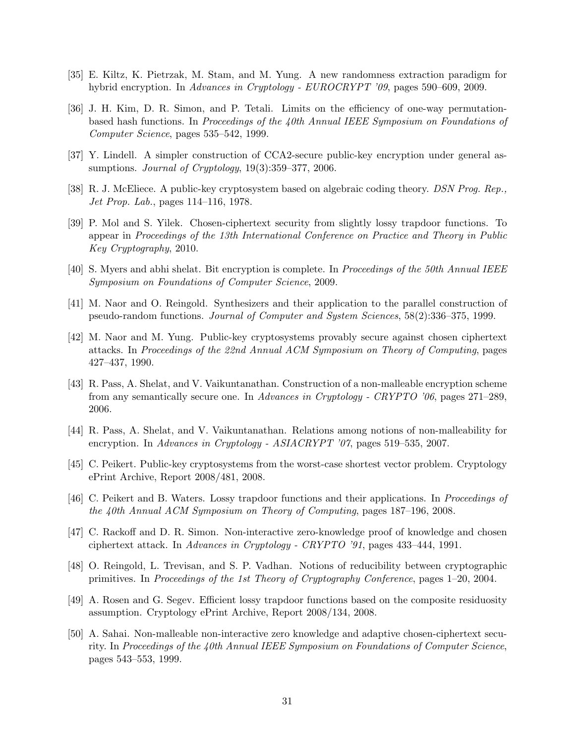- <span id="page-31-4"></span>[35] E. Kiltz, K. Pietrzak, M. Stam, and M. Yung. A new randomness extraction paradigm for hybrid encryption. In *Advances in Cryptology - EUROCRYPT '09*, pages 590–609, 2009.
- <span id="page-31-10"></span>[36] J. H. Kim, D. R. Simon, and P. Tetali. Limits on the efficiency of one-way permutationbased hash functions. In *Proceedings of the 40th Annual IEEE Symposium on Foundations of Computer Science*, pages 535–542, 1999.
- <span id="page-31-3"></span>[37] Y. Lindell. A simpler construction of CCA2-secure public-key encryption under general assumptions. *Journal of Cryptology*, 19(3):359–377, 2006.
- <span id="page-31-13"></span>[38] R. J. McEliece. A public-key cryptosystem based on algebraic coding theory. *DSN Prog. Rep., Jet Prop. Lab.*, pages 114–116, 1978.
- <span id="page-31-14"></span>[39] P. Mol and S. Yilek. Chosen-ciphertext security from slightly lossy trapdoor functions. To appear in *Proceedings of the 13th International Conference on Practice and Theory in Public Key Cryptography*, 2010.
- <span id="page-31-15"></span>[40] S. Myers and abhi shelat. Bit encryption is complete. In *Proceedings of the 50th Annual IEEE Symposium on Foundations of Computer Science*, 2009.
- <span id="page-31-7"></span>[41] M. Naor and O. Reingold. Synthesizers and their application to the parallel construction of pseudo-random functions. *Journal of Computer and System Sciences*, 58(2):336–375, 1999.
- <span id="page-31-0"></span>[42] M. Naor and M. Yung. Public-key cryptosystems provably secure against chosen ciphertext attacks. In *Proceedings of the 22nd Annual ACM Symposium on Theory of Computing*, pages 427–437, 1990.
- <span id="page-31-8"></span>[43] R. Pass, A. Shelat, and V. Vaikuntanathan. Construction of a non-malleable encryption scheme from any semantically secure one. In *Advances in Cryptology - CRYPTO '06*, pages 271–289, 2006.
- <span id="page-31-9"></span>[44] R. Pass, A. Shelat, and V. Vaikuntanathan. Relations among notions of non-malleability for encryption. In *Advances in Cryptology - ASIACRYPT '07*, pages 519–535, 2007.
- <span id="page-31-12"></span>[45] C. Peikert. Public-key cryptosystems from the worst-case shortest vector problem. Cryptology ePrint Archive, Report 2008/481, 2008.
- <span id="page-31-5"></span>[46] C. Peikert and B. Waters. Lossy trapdoor functions and their applications. In *Proceedings of the 40th Annual ACM Symposium on Theory of Computing*, pages 187–196, 2008.
- <span id="page-31-1"></span>[47] C. Rackoff and D. R. Simon. Non-interactive zero-knowledge proof of knowledge and chosen ciphertext attack. In *Advances in Cryptology - CRYPTO '91*, pages 433–444, 1991.
- <span id="page-31-11"></span>[48] O. Reingold, L. Trevisan, and S. P. Vadhan. Notions of reducibility between cryptographic primitives. In *Proceedings of the 1st Theory of Cryptography Conference*, pages 1–20, 2004.
- <span id="page-31-6"></span>[49] A. Rosen and G. Segev. Efficient lossy trapdoor functions based on the composite residuosity assumption. Cryptology ePrint Archive, Report 2008/134, 2008.
- <span id="page-31-2"></span>[50] A. Sahai. Non-malleable non-interactive zero knowledge and adaptive chosen-ciphertext security. In *Proceedings of the 40th Annual IEEE Symposium on Foundations of Computer Science*, pages 543–553, 1999.